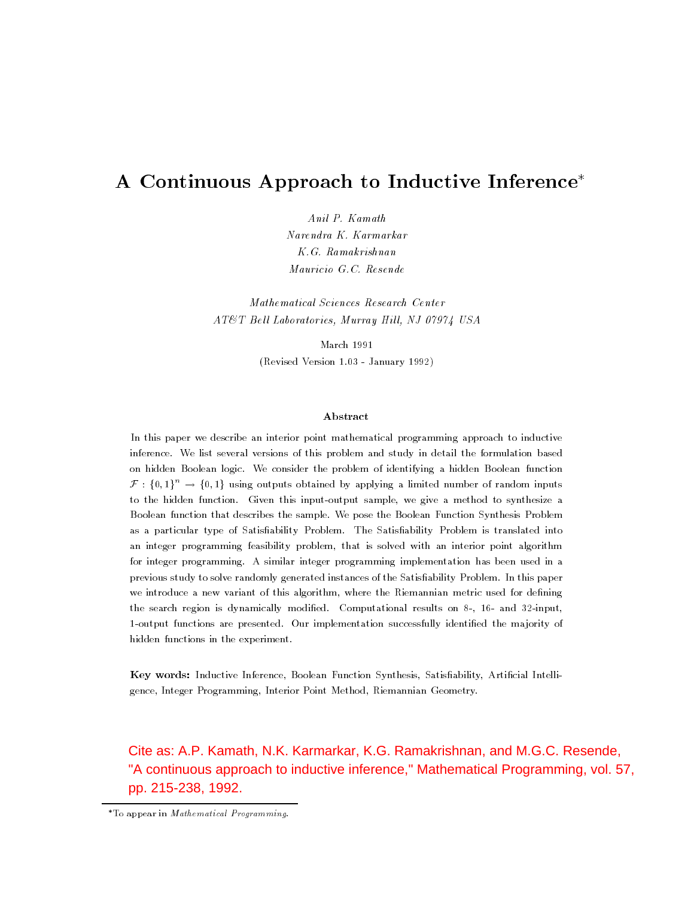# A Continuous Approach to Inductive Inference

K.G. Ramakrishnan

Mathematical Sciences Research Center at the total contract of the state of the contract of the state of the state of the state of the state of the s

March 1991

Revised Version - January - 

### Abstract

In this paper we describe an interior point mathematical programming approach to inductive inference We list several versions of this problem and study in detail the formulation based on hidden Boolean logic We consider the problem of identifying a hidden Boolean function  $\mathcal{F}: \{0,1\}^n \to \{0,1\}$  using outputs obtained by applying a limited number of random inputs to the hidden function. Given this input-output sample, we give a method to synthesize a Boolean function that describes the sample We pose the Boolean Function Synthesis Problem as a particular type of Satisfiability Problem. The Satisfiability Problem is translated into an integer programming feasibility problem, that is solved with an interior point algorithm for integer programming A similar integer programming implementation has been used in a previous study to solve randomly generated instances of the Satis
ability Problem In this paper we introduce a new variant of this algorithm, where the Riemannian metric used for defining the search region is defined as  $\mathbb{R}^n$  modified by  $\mathbb{R}^n$  and  $\mathbb{R}^n$  and  $\mathbb{R}^n$  and  $\mathbb{R}^n$  and  $\mathbb{R}^n$ -output functions are presented Our implementation successfully identi
ed the ma jority of hidden functions in the experiment

Key words- Inductive Inference Boolean Function Synthesis Satis
ability Arti
cial Intelli gence, Integer Programming, Interior Point Method, Riemannian Geometry.

Cite as: A.P. Kamath, N.K. Karmarkar, K.G. Ramakrishnan, and M.G.C. Resende, "A continuous approach to inductive inference," Mathematical Programming, vol. 57, pp. 215-238, 1992.

 $*$  To appear in *Mathematical Programming*.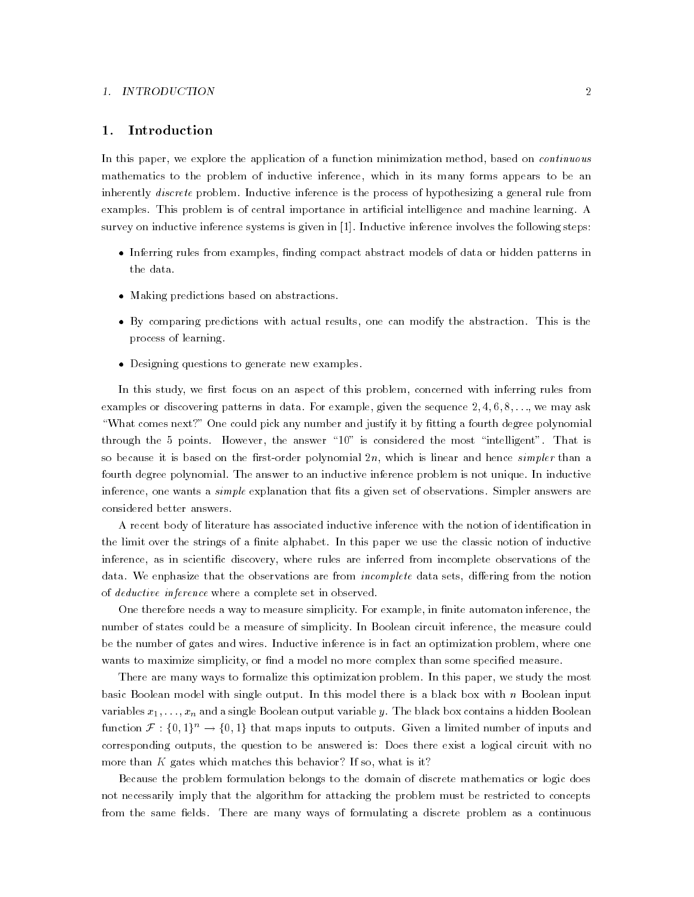## 1. Introduction

In this paper, we explore the application of a function minimization method, based on *continuous* mathematics to the problem of inductive inference, which in its many forms appears to be an inherently *discrete* problem. Inductive inference is the process of hypothesizing a general rule from examples. This problem is of central importance in artificial intelligence and machine learning. A survey on inductive inference systems is given in [1]. Inductive inference involves the following steps:

- Inferring rules from examples nding compact abstract models of data or hidden patterns in the data
- Making predictions based on abstractions
- By comparing predictions with actual results one can modify the abstraction This is the process of learning
- Designing questions to generate new examples

In this study, we first focus on an aspect of this problem, concerned with inferring rules from examples or discovering patterns in discovering the sequence  $\mu$  , and the sequence  $\mu$  , as we may give the sequence of "What comes next?" One could pick any number and justify it by fitting a fourth degree polynomial through the 5 points. However, the answer " $10$ " is considered the most "intelligent". That is so because it is based on the first-order polynomial  $2n$ , which is linear and hence simpler than a fourth degree polynomial. The answer to an inductive inference problem is not unique. In inductive inference, one wants a  $simple$  explanation that fits a given set of observations. Simpler answers are considered better answers

A recent body of literature has associated inductive inference with the notion of identification in the limit over the strings of a finite alphabet. In this paper we use the classic notion of inductive inference, as in scientific discovery, where rules are inferred from incomplete observations of the data. We enphasize that the observations are from *incomplete* data sets, differing from the notion of deductive inference where a complete set in observed

One therefore needs a way to measure simplicity. For example, in finite automaton inference, the number of states could be a measure of simplicity. In Boolean circuit inference, the measure could be the number of gates and wires. Inductive inference is in fact an optimization problem, where one wants to maximize simplicity, or find a model no more complex than some specified measure.

There are many ways to formalize this optimization problem. In this paper, we study the most basic Boolean model with single output. In this model there is a black box with  $n$  Boolean input  $\Box$  -  $\Box$  -  $\Box$  -  $\Box$  -  $\Box$  -  $\Box$  -  $\Box$  -  $\Box$  -  $\Box$  -  $\Box$  -  $\Box$  -  $\Box$  -  $\Box$  -  $\Box$  -  $\Box$  -  $\Box$  -  $\Box$  -  $\Box$  -  $\Box$  -  $\Box$  -  $\Box$  -  $\Box$  -  $\Box$  -  $\Box$  -  $\Box$  -  $\Box$  -  $\Box$  -  $\Box$  -  $\Box$  -  $\Box$  -  $\Box$  -  $\Box$  $\limsup$   $f: \{0,1\} \rightarrow \{0,1\}$  that maps inputs to outputs. Given a limited number of inputs and corresponding outputs the question to be answered is Does there exist a logical circuit with no more than K gates which matches this behavior? If so, what is it?

Because the problem formulation belongs to the domain of discrete mathematics or logic does not necessarily imply that the algorithm for attacking the problem must be restricted to concepts from the same fields. There are many ways of formulating a discrete problem as a continuous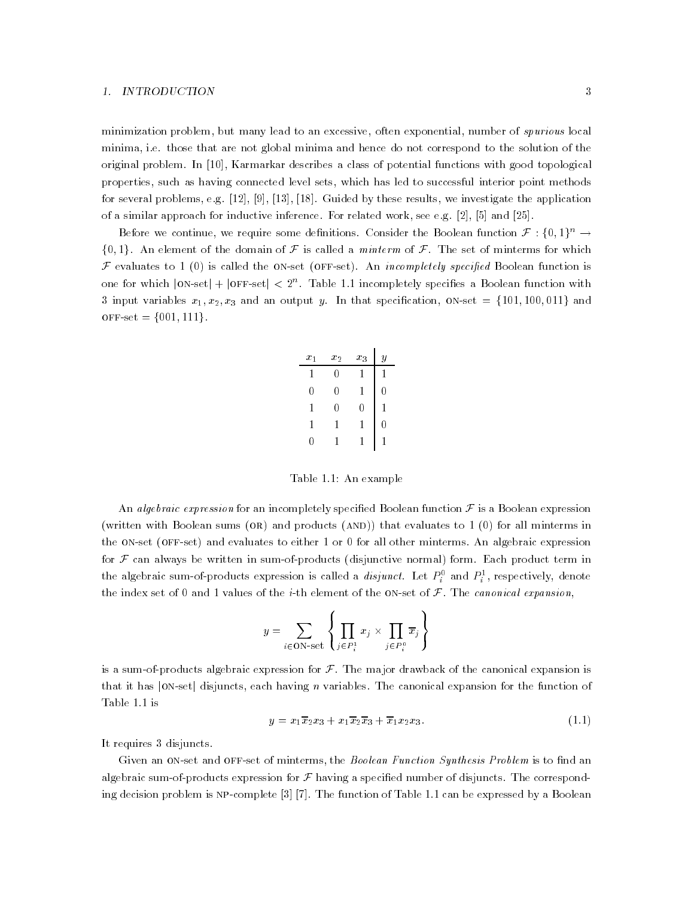minimization problem, but many lead to an excessive, often exponential, number of *spurious* local minima, i.e. those that are not global minima and hence do not correspond to the solution of the original problem. In [10], Karmarkar describes a class of potential functions with good topological properties, such as having connected level sets, which has led to successful interior point methods for several problems  $\mathcal{A}$  . In the application of the application of the application of the application of the application of the application of the application of the application of the application of the application of a similar approach for inductive inference. For related work, see e.g.  $[2]$ ,  $[5]$  and  $[25]$ .

Definition we continue, we require some definitions. Consider the Doolean function  $\mathcal{F}$  (19, 1)  $\rightarrow$  $\{0,1\}$ . An element of the domain of F is called a *minterm* of F. The set of minterms for which  $\mathcal F$  evaluates to 1 (0) is called the ON-set (OFF-set). An *incompletely specified* Boolean function is one for which  $|0 \rangle$ -set $| + |0 \rangle$ f-set $| < 2$  . Table 1.1 incompletely specifies a Boolean function with variables variables of the vine and and an output y and are specified to the specification of the specification  $o$  FF-set =  $\{001, 111\}$ .

| $x_1$ | $x_2$ | $x_3$ | $\overline{y}$ |
|-------|-------|-------|----------------|
| 1     | 0     | 1     | 1              |
| 0     | Ω     | 1     | 0              |
| 1     | 0     | 0     | 1              |
| 1     | 1     | 1     | 0              |
|       |       |       |                |

Table 2014 - Anne 1920 - Paris Paris III

An *algebraic expression* for an incompletely specified Boolean function  $\mathcal F$  is a Boolean expression (written with Boolean sums  $(OR)$  and products  $(AND)$ ) that evaluates to 1 (0) for all minterms in the  $\alpha$ N-set ( $\alpha$ FF-set) and evaluates to either 1 or 0 for all other minterms. An algebraic expression for  $\mathcal F$  can always be written in sum-of-products (disjunctive normal) form. Each product term in the algebraic sum-of-products expression is called a *disjunct*. Let  $P_i^{\perp}$  and  $P_i^{\perp}$ , respectively, denote the index set of 0 and 1 values of the *i*-th element of the ON-set of  $\mathcal F$ . The *canonical expansion*,

$$
y = \sum_{i \in \text{ON-set}} \left\{ \prod_{j \in P_i^1} x_j \times \prod_{j \in P_i^0} \overline{x}_j \right\}
$$

is a sum-of-products algebraic expression for  $\mathcal F$ . The major drawback of the canonical expansion is that it has  $|ON-set|$  disjuncts, each having n variables. The canonical expansion for the function of Table 1.1 is

$$
y = x_1 \overline{x}_2 x_3 + x_1 \overline{x}_2 \overline{x}_3 + \overline{x}_1 x_2 x_3. \tag{1.1}
$$

It requires 3 disjuncts.

Given an ON-set and OFF-set of minterms, the Boolean Function Synthesis Problem is to find an algebraic sum-of-products expression for  $\mathcal F$  having a specified number of disjuncts. The corresponding decision problem is NP-complete  $\lbrack 3 \rbrack$   $\lbrack 7 \rbrack$ . The function of Table 1.1 can be expressed by a Boolean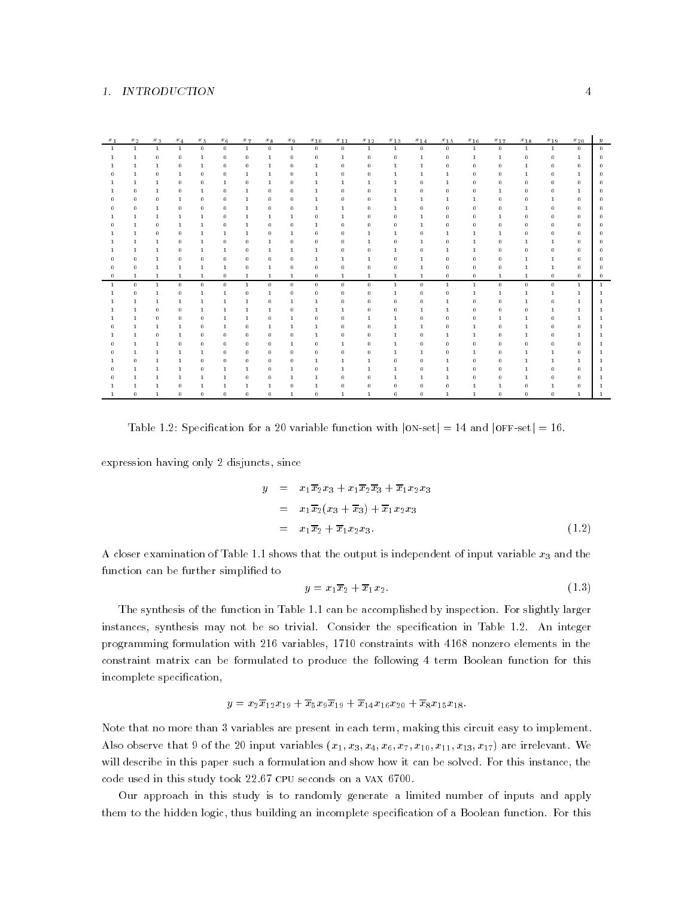| $x_1$        | $x_2$        | $x_3$        | $x_4$        | $x_{5}$      | $x_6$        | $x_7$        | $x_{8}$      | $x_{9}$    | $x_{10}$     | $x_{11}$     | $x_{\rm\,1\,2}$ | $x_{13}$     | $x_{14}$     | $x_{15}$     | $x_{16}$     | $x_{17}$ | $x_{18}$     | $x_{19}$     | $x_{20}$     | $\boldsymbol{y}$ |
|--------------|--------------|--------------|--------------|--------------|--------------|--------------|--------------|------------|--------------|--------------|-----------------|--------------|--------------|--------------|--------------|----------|--------------|--------------|--------------|------------------|
| $\mathbf{1}$ | $\mathbf{1}$ | $\mathbf{1}$ | $\mathbf{1}$ | $\circ$      | $\mathbf{o}$ | $\mathbf{1}$ | $\circ$      | -1         | $^{\circ}$   | $\mathbf 0$  | $\mathbf{1}$    | $\mathbf{1}$ | $\mathbf 0$  | 0            | $\mathbf 1$  | 0        | $\mathbf{1}$ | $\mathbf{1}$ | $\circ$      | $\circ$          |
| -1.          | -1.          | $\Omega$     | 0.           | -1           | 0.           | $^{\circ}$   | п.           | $\Omega$   | $^{\circ}$   | $\mathbf{1}$ | $\Omega$        | 0            | п.           | 0.           | $\mathbf{1}$ | п.       | 0.           | 0            | $\mathbf{1}$ | $\Omega$         |
| -1.          | 1            | 1            | $\circ$      | -1           | 0.           | $^{\circ}$   | -1           | $^{\circ}$ | -1           | $^{\circ}$   | $\Omega$        | 1            | 1            | 0            | $\Omega$     | 0        | $\mathbf{1}$ | 0            | $^{\circ}$   | $\Omega$         |
| $\circ$      | -1.          | $^{\circ}$   | -1.          | $^{\circ}$   | $\circ$      | -1           | -1.          | $^{\circ}$ | -1           | $^{\circ}$   | $^{\circ}$      | -1           | 1.           | 1.           | 0            | 0        | 1.           | 0            | 1            | 0                |
| п.           | -1.          | 1            | $\circ$      | $^{\circ}$   | 1            | $^{\circ}$   | п.           | $^{\circ}$ | $\mathbf{1}$ | $\mathbf{1}$ | $\mathbf{1}$    | -1.          | 0            | 1.           | 0            | 0        | 0            | 0            | 0.           | $\Omega$         |
| п.           | 0            | 1            | $^{\circ}$   | $\mathbf{1}$ | $^{\circ}$   | $\mathbf{1}$ | $^{\circ}$   | $^{\circ}$ | $\mathbf{1}$ | $\bf o$      | $\Omega$        | $\mathbf{1}$ | 0            | 0.           | $\Omega$     | п.       | 0.           | 0            | 1            | $\Omega$         |
| 0.           | 0            | $^{\circ}$   | -1.          | $^{\circ}$   | $\circ$      | -1           | $\circ$      | $^{\circ}$ | -1           | $^{\circ}$   | 0               | -1.          | 1            | 1.           | п.           | 0        | 0            | п.           | $^{\circ}$   | 0                |
| 0.           | 0            | -1.          | $\circ$      | $\Omega$     | 0.           | -1           | $^{\circ}$   | $^{\circ}$ | -1           | -1.          | $\Omega$        | $\mathbf{1}$ | 0            | 0            | 0            | 0.       | 1.           | 0            | $\circ$      | $\Omega$         |
| п.           | -1.          | -1.          | -1.          | $\mathbf{1}$ | $\circ$      | -1           | -1.          | -1         | $^{\circ}$   | $\mathbf{1}$ | $\Omega$        | $^{\circ}$   | 1            | 0            | $\Omega$     | п.       | 0.           | 0            | $^{\circ}$   | $\Omega$         |
| n.           | 1            | $^{\circ}$   | 1            | -1           | $^{\circ}$   | $\mathbf{1}$ | $^{\circ}$   | $^{\circ}$ | $\mathbf{1}$ | 0            | $\Omega$        | $\Omega$     | п.           | 0.           | $\Omega$     | 0        | 0.           | 0            | $\circ$      | $\Omega$         |
| п.           | 1            | $^{\circ}$   | $\circ$      | -1           | 1            | -1.          | $\circ$      | -1         | $^{\circ}$   | $^{\circ}$   | 1               | -1           | 0            | 1            | 1            | 1        | 0.           | 0            | $^{\circ}$   | $\Omega$         |
| $\mathbf{1}$ | -1.          | -1.          | $\circ$      | -1           | $\circ$      | $^{\circ}$   | -1           | $^{\circ}$ | $^{\circ}$   | 0            | 1               | $\circ$      | 1.           | 0            | 1            | 0        | 1.           | 1            | $^{\circ}$   | 0                |
| л.           | л.           | 1            | $\circ$      | -1           | 1.           | $\circ$      | п.           | -1         | 1            | $^{\circ}$   | $\Omega$        | п.           | 0.           |              | п.           | 0.       | 0.           | 0.           | 0.           | $\Omega$         |
| 0.           | 0.           | $\mathbf{1}$ | $^{\circ}$   | $^{\circ}$   | $\circ$      | 0.           | $\circ$      | $^{\circ}$ | $\mathbf{1}$ | $\mathbf{1}$ | п.              | $^{\circ}$   | 1            | 0            | $\Omega$     | 0.       | п.           | п.           | 0.           | $\Omega$         |
| $\Omega$     | $^{\circ}$   | 1            | $\mathbf{1}$ | -1           | -1.          | $^{\circ}$   | $\mathbf{1}$ | $\Omega$   | $^{\circ}$   | 0            | 0.              | $\Omega$     | $\mathbf{1}$ | 0            | $\Omega$     | 0        | $\mathbf{1}$ | $\mathbf{1}$ | $\circ$      | $\Omega$         |
| 0.           | 1.           | -1.          | -1.          | -1.          | $\circ$      | $\mathbf{1}$ | -1.          | -1         | $\circ$      | $\mathbf{1}$ | $\mathbf{1}$    | -1           | $\mathbf{1}$ | 0            | $^{\circ}$   | 1        | 1.           | 0            | 0.           | $^{\circ}$       |
| $\mathbf{1}$ | $^{\circ}$   | $\mathbf{1}$ | $\circ$      | $\circ$      | $\mathbf{o}$ | $\mathbf{1}$ | $\circ$      | $\circ$    | $^{\circ}$   | $^{\circ}$   | $^{\circ}$      | -1           | $\circ$      | $\mathbf{1}$ | $\mathbf{1}$ | $\circ$  | $\mathbf{O}$ | $\bf o$      | -1.          | $\mathbf{1}$     |
| п.           | 0            | $\mathbf{1}$ | $^{\circ}$   | -1           | 1            | $^{\circ}$   | -1           | $^{\circ}$ | $^{\circ}$   | 0            | 0               | -1           | 0            | 0            | $\mathbf{1}$ | 1        | п.           | -1.          | 1            | 1                |
| п.           | -1.          | -1.          | -1.          | -1           | -1.          | -1.          | $\circ$      | -1         | -1           | $^{\circ}$   | $\Omega$        | 0.           | 0            | л.           | $\Omega$     | 0.       | п.           | 0            | 1            | -1               |
| $\mathbf{1}$ | -1.          | 0.           | 0.           | -1           | 1            | -1           | 1            | $^{\circ}$ | 1            | $\mathbf{1}$ | $\Omega$        | $\Omega$     | п.           | 1.           | $\Omega$     | 0        | 0            | 1            | 1            | 1                |
|              | 1            | $^{\circ}$   | $\circ$      | $^{\circ}$   | 1            | 1            | $^{\circ}$   | -1         | $^{\circ}$   | 0            | 1               | $\mathbf{1}$ | 0            | 0            | $\Omega$     | 1        | 1            | 0            | 1            | 1                |
| n.           | 1            | $\mathbf{1}$ | -1.          | 0.           | -1.          | $^{\circ}$   | п.           | -1         | $\mathbf{1}$ | 0.           | $\Omega$        | -1           | п.           | 0.           | -1.          | 0.       | п.           | 0            | $^{\circ}$   | -1               |
| -1.          | -1.          | $^{\circ}$   | -1.          | $^{\circ}$   | 0.           | $\circ$      | $^{\circ}$   | $^{\circ}$ | -1           | $^{\circ}$   | $\Omega$        | $\mathbf{1}$ | 0            | 1.           | $\mathbf{1}$ | 0.       | п.           | 0            | 1            | 1                |
| 0.           | -1.          | 1            | $\circ$      | $\circ$      | $\circ$      | $\circ$      | $\circ$      | -1         | $^{\circ}$   | $\mathbf{1}$ | 0               | -1           | 0            | 0            | 0            | 0        | 0            | 0            | $^{\circ}$   | 1                |
| n.           | п.           | 1            | $\mathbf{1}$ | $\mathbf{1}$ | 0.           | 0.           | 0.           | $\Omega$   | 0.           | $\Omega$     | $\Omega$        | $\mathbf{1}$ | п.           | 0.           | $\mathbf{1}$ | 0        | п.           | п.           | 0.           | -1               |
| п.           | 0            | 1            | 1            | $^{\circ}$   | $^{\circ}$   | $^{\circ}$   | $\circ$      | $^{\circ}$ | $\mathbf{1}$ | -1.          | 1               | $\Omega$     | 0            | $\mathbf{1}$ | $\Omega$     | 0        | $\mathbf{1}$ | 1            | 1            | 1                |
| 0.           | -1.          | 1            | -1.          | $^{\circ}$   | -1.          | -1           | 0            | -1         | $^{\circ}$   | -1.          | 1               | -1           | 0            | 1.           | 0            | 0        | 1.           | 0            | $^{\circ}$   | 1                |
| n.           |              | п.           | -1.          | -1           | 1.           | $\circ$      | $\circ$      | -1         | 1            | $\Omega$     | $\Omega$        | -1.          | п.           | 1.           | 0            | 0.       | п.           | 0            | 0.           |                  |
|              |              | $\mathbf{1}$ | 0.           | $\mathbf{1}$ | 1            | 1            | $\mathbf{1}$ | $\Omega$   | $\mathbf{1}$ | $\Omega$     | $\Omega$        | 0            | 0            | 0            | $\mathbf{1}$ | ı.       | 0.           | ı.           | $^{\circ}$   |                  |
|              | 0            | 1            | 0            | 0            | $^{\circ}$   | 0            | 0            | 1          | 0            | $\mathbf{1}$ | 1               | 0            | 0            | 1            | $\mathbf{1}$ | 0        | 0            | 0            | $\mathbf{1}$ | -1.              |

Table Specication for a  variable function with jonsetj 
 and joffsetj

expression having only 2 disjuncts, since

$$
y = x_1 \overline{x}_2 x_3 + x_1 \overline{x}_2 \overline{x}_3 + \overline{x}_1 x_2 x_3
$$
  
\n
$$
= x_1 \overline{x}_2 (x_3 + \overline{x}_3) + \overline{x}_1 x_2 x_3
$$
  
\n
$$
= x_1 \overline{x}_2 + \overline{x}_1 x_2 x_3.
$$
 (1.2)

A closer examination of Table 1.1 shows that the output is independent of input variable  $x_3$  and the function can be further simplified to

$$
y = x_1 \overline{x}_2 + \overline{x}_1 x_2. \tag{1.3}
$$

The synthesis of the function in Table  $1.1$  can be accomplished by inspection. For slightly larger instances, synthesis may not be so trivial. Consider the specification in Table 1.2. An integer programming formulation with 216 variables, 1710 constraints with 4168 nonzero elements in the constraint matrix can be formulated to produce the following 4 term Boolean function for this incomplete specification,

$$
y = x_2 \overline{x}_{12} x_{19} + \overline{x}_5 x_9 \overline{x}_{19} + \overline{x}_{14} x_{16} x_{20} + \overline{x}_8 x_{15} x_{18}.
$$

Note that no more than 3 variables are present in each term, making this circuit easy to implement.  $\begin{array}{ccc} 1 & \hspace{1.5mm} & \hspace{1.5mm} \setminus & \hspace{1.5mm} 1\, \hspace{1.5mm} & \hspace{1.5mm} \bullet \end{array}$  ,  $\begin{array}{ccc} 1 & \hspace{1.5mm} & \hspace{1.5mm} \bullet \end{array}$  ,  $\begin{array}{ccc} 1 & \hspace{1.5mm} & \hspace{1.5mm} \bullet \end{array}$  ,  $\begin{array}{ccc} 1 & \hspace{1.5mm} & \hspace{1.5mm} \bullet \end{array}$  ,  $\begin{array}{ccc} 1 & \hspace{1.5mm} &$ will describe in this paper such a formulation and show how it can be solved. For this instance, the code used in this study took 22.67 CPU seconds on a VAX 6700.

Our approach in this study is to randomly generate a limited number of inputs and apply them to the hidden logic, thus building an incomplete specification of a Boolean function. For this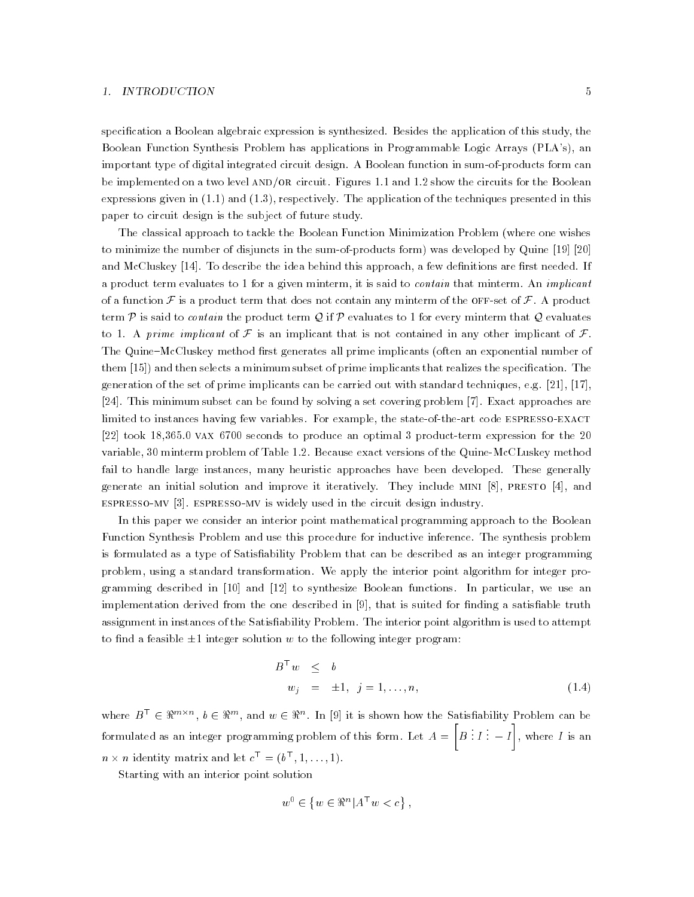specification a Boolean algebraic expression is synthesized. Besides the application of this study, the Boolean Function Synthesis Problem has applications in Programmable Logic Arrays (PLA's), an important type of digital integrated circuit design. A Boolean function in sum-of-products form can be implemented on a two level  $AND/OR$  circuit. Figures 1.1 and 1.2 show the circuits for the Boolean expressions given in  $(1.1)$  and  $(1.3)$ , respectively. The application of the techniques presented in this paper to circuit design is the subject of future study

The classical approach to tackle the Boolean Function Minimization Problem (where one wishes to minimize the number of disjuncts in the sumofproducts form was developed by Quine  and McCluskey [14]. To describe the idea behind this approach, a few definitions are first needed. If a product term evaluates to 1 for a given minterm, it is said to *contain* that minterm. An *implicant* of a function  $\mathcal F$  is a product term that does not contain any minterm of the OFF-set of  $\mathcal F$ . A product term  $P$  is said to *contain* the product term Q if P evaluates to 1 for every minterm that Q evaluates to 1. A prime implicant of F is an implicant that is not contained in any other implicant of F. The Quine–McCluskey method first generates all prime implicants (often an exponential number of them  $[15]$  and then selects a minimum subset of prime implicants that realizes the specification. The generation of the set of prime implicants can be carried out with standard techniques, e.g. [21], [17], [24]. This minimum subset can be found by solving a set covering problem [7]. Exact approaches are limited to instances having few variables. For example, the state-of-the-art code ESPRESSO-EXACT  $[22]$  took 18,365.0 VAX 6700 seconds to produce an optimal 3 product-term expression for the 20 variable, 30 minterm problem of Table  $1.2$ . Because exact versions of the Quine-McCLuskey method fail to handle large instances, many heuristic approaches have been developed. These generally generate an initial solution and improve it iteratively. They include MINI  $[8]$ , PRESTO  $[4]$ , and ess and so is widely that and so is widely the circuit design in the circuit design in the circuit  $\mu$  .

In this paper we consider an interior point mathematical programming approach to the Boolean Function Synthesis Problem and use this procedure for inductive inference The synthesis problem is formulated as a type of Satisfiability Problem that can be described as an integer programming problem, using a standard transformation. We apply the interior point algorithm for integer programming described in  $\lceil 10 \rceil$  and  $\lceil 12 \rceil$  to synthesize Boolean functions. In particular, we use an implementation derived from the one described in - that is suited for non-described in - that is suited for no assignment in instances of the Satisfiability Problem. The interior point algorithm is used to attempt to find a feasible  $\pm 1$  integer solution w to the following integer program.

$$
B^{\perp}w \leq b
$$
  
\n
$$
w_j = \pm 1, \quad j = 1, \dots, n,
$$
\n(1.4)

where  $D \in \mathfrak{N}$  and  $w \in \mathfrak{N}$  and  $w \in \mathfrak{N}$  in  $|v|$  it is shown how the Satishability Problem can be formulated as an integer programming problem of this form. Let  $A = \begin{bmatrix} B & I & -I \end{bmatrix}$ , where I is an  $n \times n$  identity matrix and let  $c_{-} = (v_{-}, 1, \ldots, 1)$ .

Starting with an interior point solution

$$
w^0 \in \{w \in \Re^n | A^\top w < c\},\
$$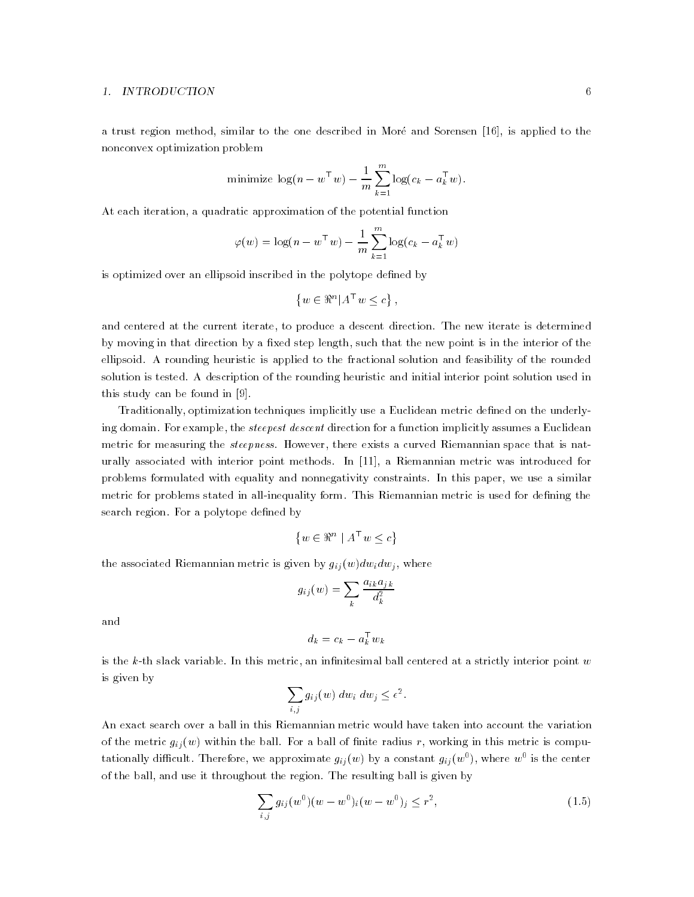a trust region method, similar to the one described in Moré and Sorensen [16], is applied to the nonconvex optimization problem

minimize 
$$
\log(n - w^{\top} w) - \frac{1}{m} \sum_{k=1}^{m} \log(c_k - a_k^{\top} w)
$$
.

At each iteration, a quadratic approximation of the potential function

$$
\varphi(w) = \log(n - w^{\top} w) - \frac{1}{m} \sum_{k=1}^{m} \log(c_k - a_k^{\top} w)
$$

is optimized over an ellipsoid inscribed in the polytope defined by

$$
\{w \in \Re^n | A^\top w \le c\},\
$$

and centered at the current iterate, to produce a descent direction. The new iterate is determined by moving in that direction by a fixed step length, such that the new point is in the interior of the ellipsoid. A rounding heuristic is applied to the fractional solution and feasibility of the rounded solution is tested. A description of the rounding heuristic and initial interior point solution used in this study can be found in the found in  $\mathbf{r}$  -found in  $\mathbf{r}$  -found in  $\mathbf{r}$ 

Traditionally, optimization techniques implicitly use a Euclidean metric defined on the underlying domain. For example, the *steepest descent* direction for a function implicitly assumes a Euclidean metric for measuring the *steepness*. However, there exists a curved Riemannian space that is naturally associated with interior point methods. In [11], a Riemannian metric was introduced for problems formulated with equality and nonnegativity constraints. In this paper, we use a similar metric for problems stated in all-inequality form. This Riemannian metric is used for defining the search region. For a polytope defined by

 $\{w \in \Re^n \mid A^{\perp}w \leq c\}$ 

the associated Riemannian metric is given by  $g_{ij}(w)dw_i dw_j$ , where

$$
g_{ij}(w) = \sum_{k} \frac{a_{ik} a_{jk}}{d_k^2}
$$

and

$$
d_k = c_k - a_k^\top w_k
$$

is the k-th slack variable. In this metric, an infinitesimal ball centered at a strictly interior point  $w$ is given by

$$
\sum_{i,j} g_{ij}(w) dw_i dw_j \le \epsilon^2.
$$

An exact search over a ball in this Riemannian metric would have taken into account the variation of the metric  $g_{ij}(w)$  within the ball. For a ball of finite radius r, working in this metric is computationally difficult. Therefore, we approximate  $g_{ij}(w)$  by a constant  $g_{ij}(w^*)$ , where  $w^*$  is the center of the ball, and use it throughout the region. The resulting ball is given by

$$
\sum_{i,j} g_{ij}(w^0)(w - w^0)_i(w - w^0)_j \le r^2,
$$
\n(1.5)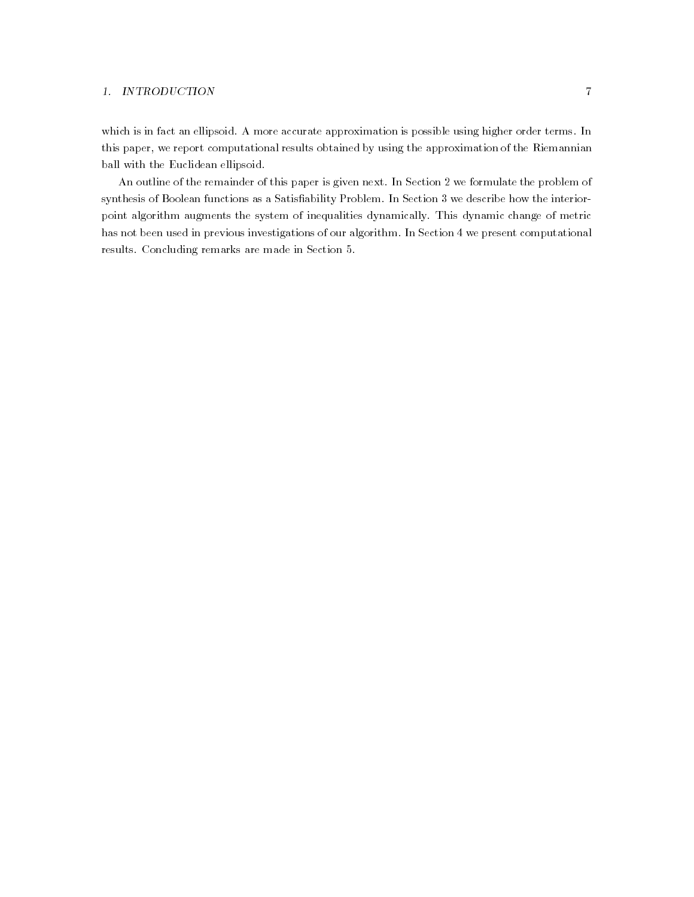which is in fact an ellipsoid. A more accurate approximation is possible using higher order terms. In this paper, we report computational results obtained by using the approximation of the Riemannian ball with the Euclidean ellipsoid

An outline of the remainder of this paper is given next. In Section 2 we formulate the problem of synthesis of Boolean functions as a Satisfiability Problem. In Section 3 we describe how the interiorpoint algorithm augments the system of inequalities dynamically This dynamic change of metric has not been used in previous investigations of our algorithm. In Section 4 we present computational results. Concluding remarks are made in Section 5.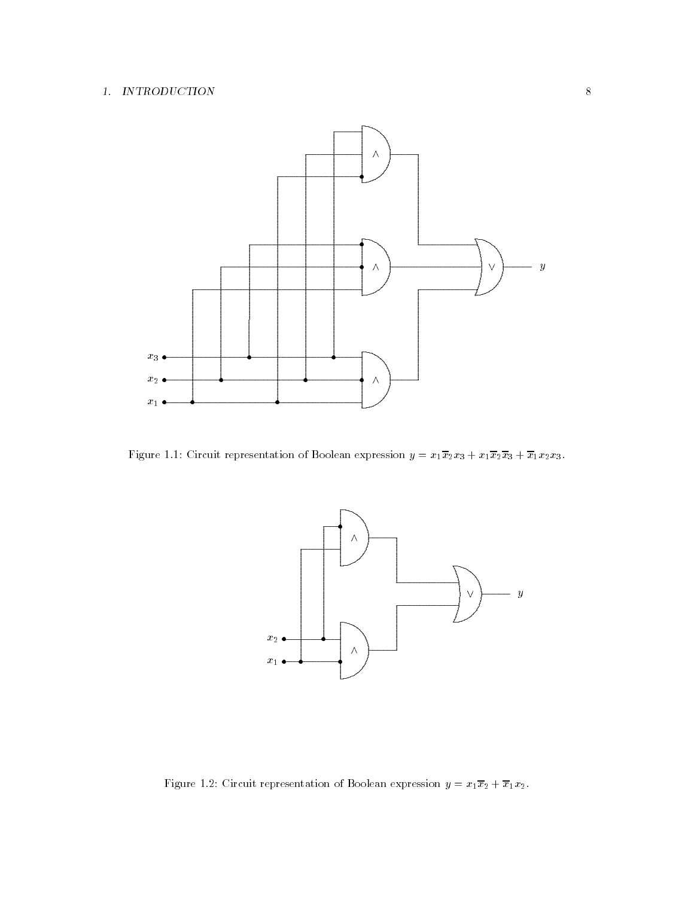## $1. \quad INTRODUCTION$



Figure 1.1: Circuit representation of Boolean expression  $y = x_1\overline{x}_2x_3 + x_1\overline{x}_2\overline{x}_3 + \overline{x}_1x_2x_3$ .



Figure 1.2: Circuit representation of Boolean expression  $y = x_1\overline{x}_2 + \overline{x}_1x_2$ .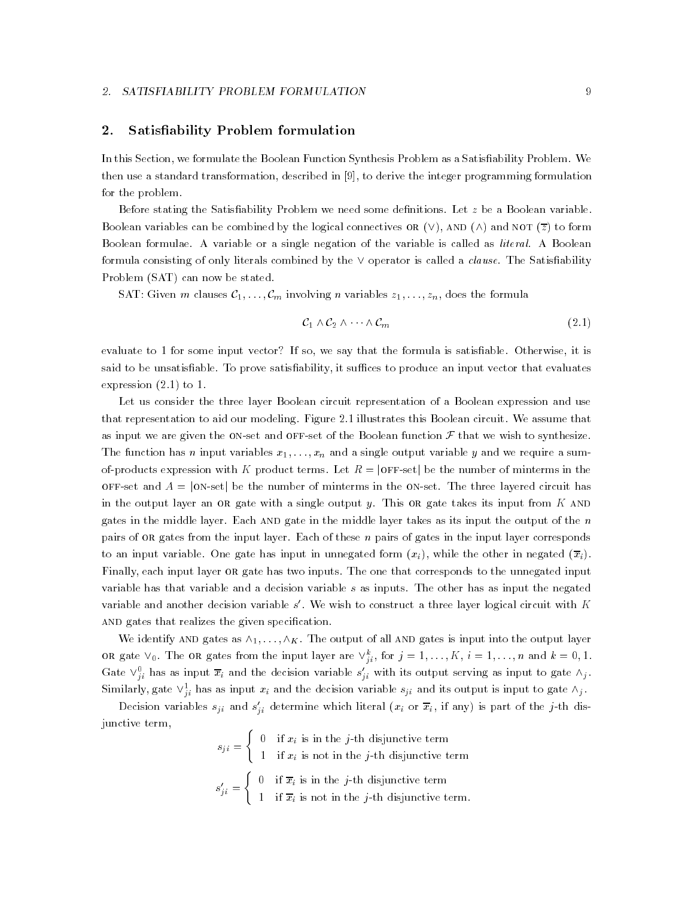#### 2. SATISFIABILITY PROBLEM FORMULATION 9

## 2. Satisfiability Problem formulation

In this Section, we formulate the Boolean Function Synthesis Problem as a Satisfiability Problem. We  $t$  standard transformation in  $\mathbb{R}^n$  and integer programming formulation  $\mathbb{R}^n$ for the problem

Before stating the Satisfiability Problem we need some definitions. Let  $z$  be a Boolean variable. Boolean variables can be combined by the logical connectives  $OR(V)$ , AND  $(\wedge)$  and NOT  $(\overline{z})$  to form Boolean formulae. A variable or a single negation of the variable is called as *literal*. A Boolean formula consisting of only literals combined by the  $\vee$  operator is called a *clause*. The Satisfiability Problem (SAT) can now be stated.

SAT Given m clauses C- - - - Cm involving <sup>n</sup> variables z- - - -zn does the formula

$$
C_1 \wedge C_2 \wedge \cdots \wedge C_m \tag{2.1}
$$

evaluate to 1 for some input vector? If so, we say that the formula is satisfiable. Otherwise, it is said to be unsatisfiable. To prove satisfiability, it suffices to produce an input vector that evaluates expression  $(2.1)$  to 1.

Let us consider the three layer Boolean circuit representation of a Boolean expression and use that representation to aid our modeling. Figure 2.1 illustrates this Boolean circuit. We assume that as input we are given the ON-set and OFF-set of the Boolean function  $\mathcal F$  that we wish to synthesize.  $\frac{1}{2}$  in and  $\frac{1}{2}$  and  $\frac{1}{2}$  and we require a summer variable y and we require a summer variable  $\frac{1}{2}$ of-products expression with K product terms. Let  $R = |o$  FF-set be the number of minterms in the OFF-set and  $A = |$ ON-set be the number of minterms in the ON-set. The three layered circuit has in the output layer an OR gate with a single output y. This OR gate takes its input from  $K$  AND gates in the middle layer. Each AND gate in the middle layer takes as its input the output of the  $n$ pairs of or gates from the input layer Each of these n pairs of gates in the input layer corresponds to an input variable. One gate has input in unnegated form  $(x_i)$ , while the other in negated  $(\overline{x}_i)$ . Finally, each input layer OR gate has two inputs. The one that corresponds to the unnegated input variable has that variable and a decision variable  $s$  as inputs. The other has as input the negated variable and another decision variable  $s$  . We wish to construct a three layer logical circuit with  $K$ and gates that realizes the given specification.

we identify and gates as  $\{1\}$  and  $W$  , we have an all all and gates in and all and all and the output lay OR gate  $\vee_0$ . The OR gates from the input layer are  $\vee_{j}^{\perp}$ , for  $j = 1, \ldots, K$ ,  $i = 1, \ldots, n$  and  $k = 0, 1$ . Gate  $\vee_{j \, i}$  has as input  $x_i$  and the decision variable  $s_{j \, i}$  with its output serving as input to gate  $\wedge_j$ . Similarly, gate  $\vee_{\bar{i}i}$  has as input  $x_i$  and the decision variable  $s_{j\,i}$  and its output is input to gate  $\wedge_j$  .

Decision variables  $s_{j,i}$  and  $s_{j,i}$  determine which literal  $(x_i$  or  $x_i$ , if any is part of the j-th disjunctive term 

$$
s_{ji} = \begin{cases} 0 & \text{if } x_i \text{ is in the } j\text{-th disjunctive term} \\ 1 & \text{if } x_i \text{ is not in the } j\text{-th disjunctive term} \end{cases}
$$

$$
s'_{ji} = \begin{cases} 0 & \text{if } \overline{x}_i \text{ is in the } j\text{-th disjunctive term} \\ 1 & \text{if } \overline{x}_i \text{ is not in the } j\text{-th disjunctive term.} \end{cases}
$$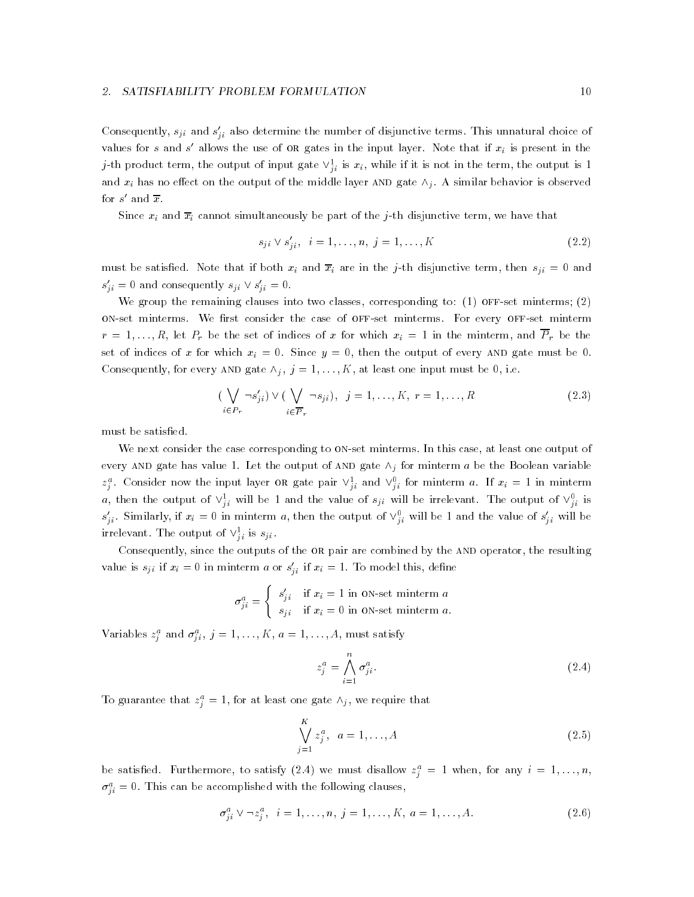Consequently,  $s_{j i}$  and  $s_{j i}$  also determine the number of disjunctive terms. This unnatural choice of values for s and s allows the use of OR gates in the input layer. Note that if  $x_i$  is present in the j-th product term, the output of input gate  $\vee_{\bar{j}i}$  is  $x_i,$  while if it is not in the term, the output is 1 and  $x_i$  has no effect on the output of the middle layer AND gate  $\wedge_i$ . A similar behavior is observed for  $s$  and  $x$ .

Since  $x_i$  and  $\overline{x}_i$  cannot simultaneously be part of the j-th disjunctive term, we have that

$$
s_{j i} \vee s'_{j i}, \quad i = 1, \dots, n, \ j = 1, \dots, K \tag{2.2}
$$

must be satisfied. Note that if both  $x_i$  and  $\overline{x}_i$  are in the j-th disjunctive term, then  $s_{ii} = 0$  and  $s_{j i} = 0$  and consequently  $s_{j i} \vee s_{j i} = 0$ .

we group the remaining theory into the remains to remain  $\gamma$  ,  $\gamma$  ,  $\gamma$  , and  $\gamma$  ,  $\gamma$ on-set minterms. We first consider the case of off-set minterms. For every off-set minterm r and the set of indices of the set of indices of indices of the minimum of the minimum of the minimum of the m set of indices of x for which  $x_i = 0$ . Since  $y = 0$ , then the output of every AND gate must be 0 respectively for a least consequently in the first part of the first consequent of the consequence of the consequence of the consequence of the consequence of the consequence of the consequence of the consequence of the co

$$
\left(\bigvee_{i \in P_r} \neg s'_{ji}\right) \vee \left(\bigvee_{i \in \overline{P}_r} \neg s_{ji}\right), \ \ j = 1, \dots, K, \ r = 1, \dots, R
$$
\n
$$
(2.3)
$$

must be satisfied.

We next consider the case corresponding to ON-set minterms. In this case, at least one output of every AND gate has value 1. Let the output of AND gate  $\wedge_j$  for minterm a be the Boolean variable  $z_i^z$ . Consider now the input layer or gate pair  $v_{j i}^z$  and  $v_{j i}^z$  for minterm a. If  $x_i = 1$  in minterm  $a$ , then the output of  $v_{\bar{i}i}^*$  will be 1 and the value of  $s_{ji}^*$  will be firelevant. The output of  $v_{\bar{i}i}^*$  is  $s_{ji}$ . Similarly, if  $x_i = 0$  in minterm a, then the output of  $\vee_{ji}$  will be and the value of  $s_{ji}$  will be irrelevant. The output of  $\vee_{i}^{\pm}$  is  $s_{ji}.$ 

Consequently, since the outputs of the OR pair are combined by the AND operator, the resulting value is  $s_j$ ; if  $x_i = 0$  in minterm a or  $s_{j_i}$  if  $x_i = 1$ . To model this, define

$$
\sigma_{ji}^{a} = \begin{cases} s'_{ji} & \text{if } x_i = 1 \text{ in on-set minterm } a \\ s_{ji} & \text{if } x_i = 0 \text{ in on-set minterm } a. \end{cases}
$$

variables  $z_j$  and  $\sigma_{ji}$ ,  $j = 1, \ldots, K$ ,  $a = 1, \ldots, A$ , must satisfy

$$
z_j^a = \bigwedge_{i=1}^n \sigma_{j\,i}^a. \tag{2.4}
$$

To guarantee that  $z_i = 1$ , for at least one gate  $\wedge_i$ , we require that

$$
\bigvee_{j=1}^{K} z_j^a, \ \ a = 1, \dots, A \tag{2.5}
$$

be satisfied. Furthermore, to satisfy (2.4) we must disallow  $z_j = 1$  when, for any  $i = 1, \ldots, n$ ,  $\sigma_{\tilde{i}i} = 0$ . This can be accomplished with the following clauses,

$$
\sigma_{j\,i}^{a} \vee \neg z_{j}^{a}, \quad i = 1, \dots, n, \ j = 1, \dots, K, \ a = 1, \dots, A. \tag{2.6}
$$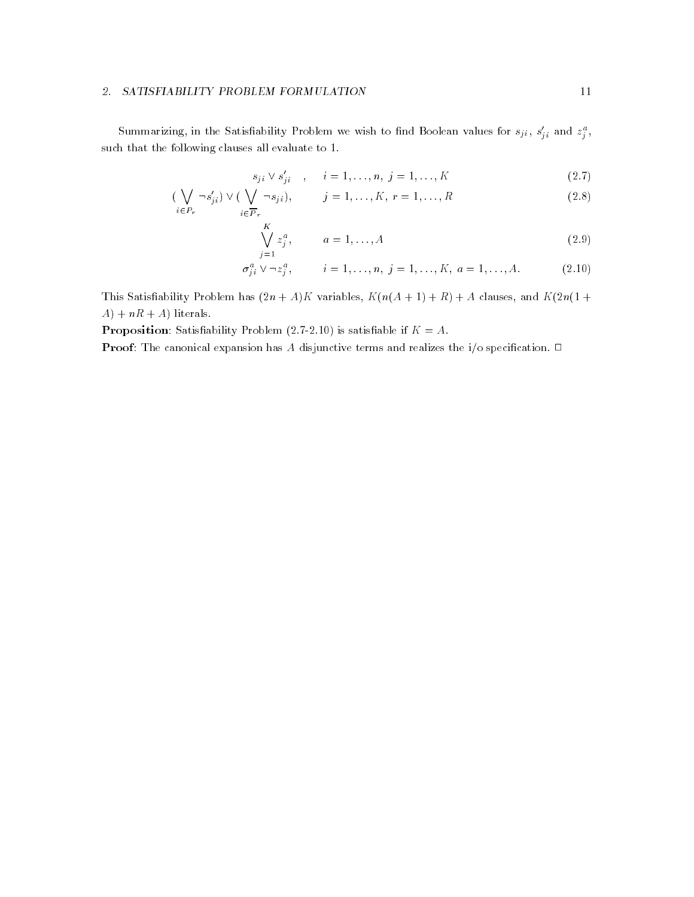## SATISFIABILITY PROBLEM FORMULATION

Summarizing, in the Satisnability Problem we wish to find Boolean values for  $s_{j i},\,s_{j i}$  and  $z_{j}$ , such that the following clauses all evaluate to 1.

$$
s_{j i} \vee s'_{j i} , i = 1, ..., n, j = 1, ..., K
$$
 (2.7)

$$
(\bigvee_{i \in P_r} \neg s'_{ji}) \vee (\bigvee_{i \in \overline{P}_r} \neg s_{ji}), \qquad j = 1, \dots, K, r = 1, \dots, R
$$
\n
$$
(2.8)
$$

$$
\bigvee_{j=1}^{K} z_j^a, \qquad a = 1, ..., A
$$
\n(2.9)

$$
\sigma_{j i}^{a} \vee \neg z_{j}^{a}, \qquad i = 1, ..., n, \ j = 1, ..., K, \ a = 1, ..., A.
$$
 (2.10)

This Satisfiability Problem has  $(2n + A)K$  variables,  $K(n(A + 1) + R) + A$  clauses, and  $K(2n(1 +$  $A$  +  $nR$  +  $A$ ) literals.

Proposition Satisability Problem  is satisable if K A

Proof The canonical expansion has A disjunctive terms and realizes the io specication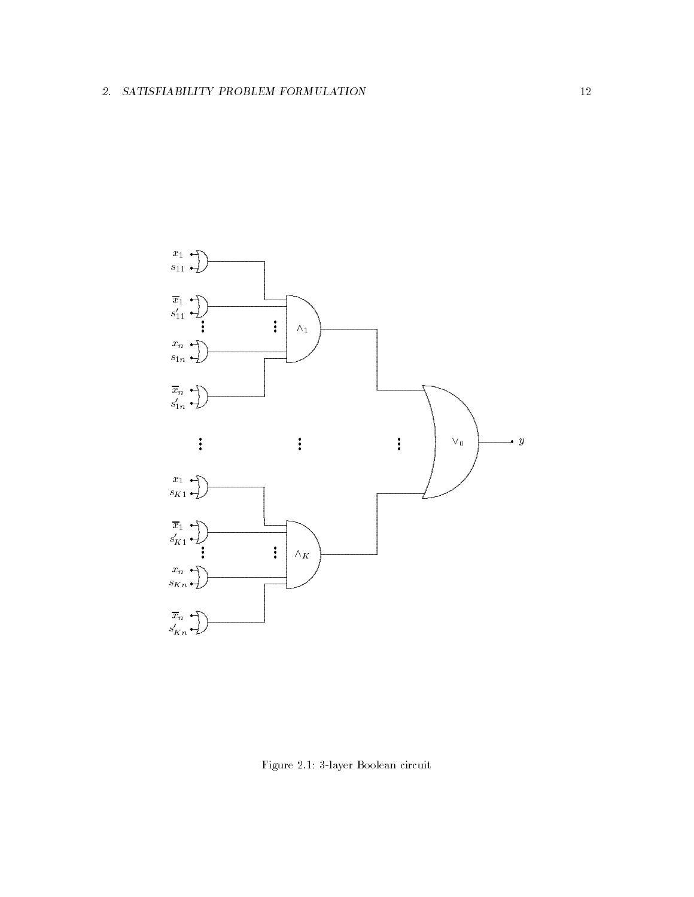

Figure 2.1: 3-layer Boolean circuit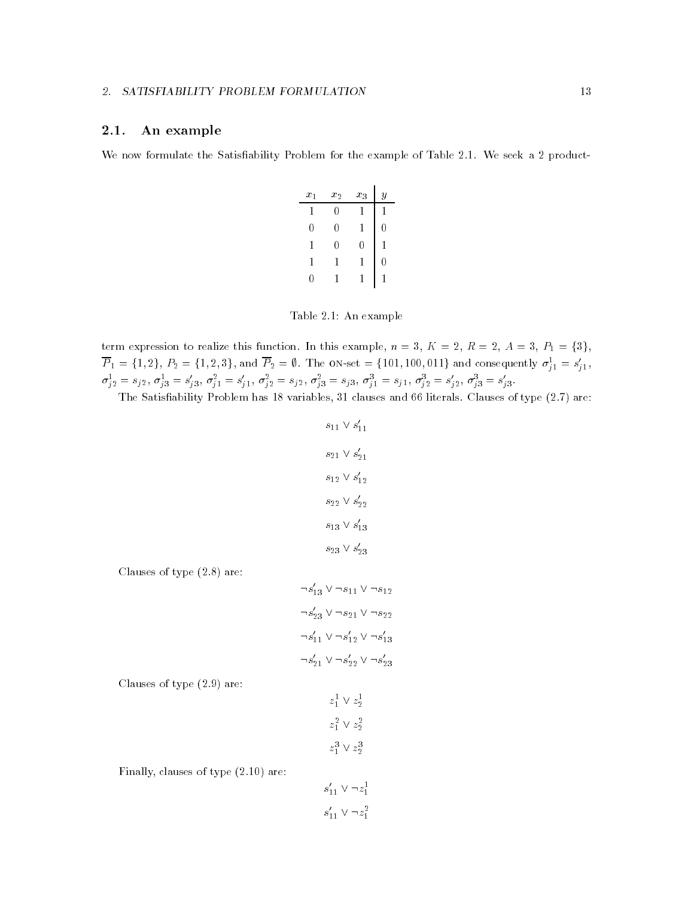# 2.1. An example

We now formulate the Satisfiability Problem for the example of Table 2.1. We seek a 2 product-

| $x_1$ | $x_2$ | $x_3$ | $\overline{y}$ |
|-------|-------|-------|----------------|
| 1     | 0     |       |                |
| 0     | 0     |       | Ω              |
| 1     | 0     | Ω     |                |
| 1     | 1     |       | 0              |
| 11    |       |       |                |

Table 2008 - An example 2008 - An example 2008 - An example 2008 - An example 2008 - An example 2008 - An example

term expression to realize this realized mass complexity and  $\mathcal{A}$  in  $\mathcal{A}$  is  $\mathcal{A}$  . The  $\mathcal{A}$  is a set of  $\mathcal{A}$  is a set of  $\mathcal{A}$  is a set of  $\mathcal{A}$  is a set of  $\mathcal{A}$  is a set of  $\mathcal{A}$  is a se  $P_1 = \{1, 2\}, P_2 = \{1, 2, 3\}, \text{ and } P_2 = \emptyset$ . The ON-set  $= \{101, 100, 011\}$  and consequently  $\sigma_{\tilde{i}1} = s_{\tilde{i}1},$  $\sigma_{\tilde{j}\,2}=s_{j\,2},\,\sigma_{\tilde{j}\,3}=s_{j\,3},\,\sigma_{\tilde{j}\,1}=s_{j\,1},\,\sigma_{\tilde{j}\,2}=s_{j\,2},\,\sigma_{\tilde{j}\,3}=s_{j\,3},\,\sigma_{\tilde{j}\,1}=s_{j\,1},\,\sigma_{\tilde{j}\,2}=s_{j\,2},\,\sigma_{\tilde{j}\,3}=s_{j\,3}.$ 

The Satisfability Problem has variables in the complete and literals continues to type  $\{ \bullet \cdots \}$  are:

$$
s_{11} \vee s'_{11}
$$
  
\n
$$
s_{21} \vee s'_{21}
$$
  
\n
$$
s_{12} \vee s'_{12}
$$
  
\n
$$
s_{22} \vee s'_{22}
$$
  
\n
$$
s_{13} \vee s'_{13}
$$
  
\n
$$
s_{23} \vee s'_{23}
$$

Clauses of type  $(2.8)$  are:

$$
\neg s'_{13} \lor \neg s_{11} \lor \neg s_{12}
$$
  

$$
\neg s'_{23} \lor \neg s_{21} \lor \neg s_{22}
$$
  

$$
\neg s'_{11} \lor \neg s'_{12} \lor \neg s'_{13}
$$
  

$$
\neg s'_{21} \lor \neg s'_{22} \lor \neg s'_{23}
$$

class of type  $\sim$  type  $\sim$  type  $\sim$  type  $\sim$  type  $\sim$ 

$$
z_1^1 \vee z_2^1
$$
  

$$
z_1^2 \vee z_2^2
$$
  

$$
z_1^3 \vee z_2^3
$$

Finally, clauses of type  $(2.10)$  are:

$$
s'_{11} \vee \neg z_1^1
$$
  

$$
s'_{11} \vee \neg z_1^2
$$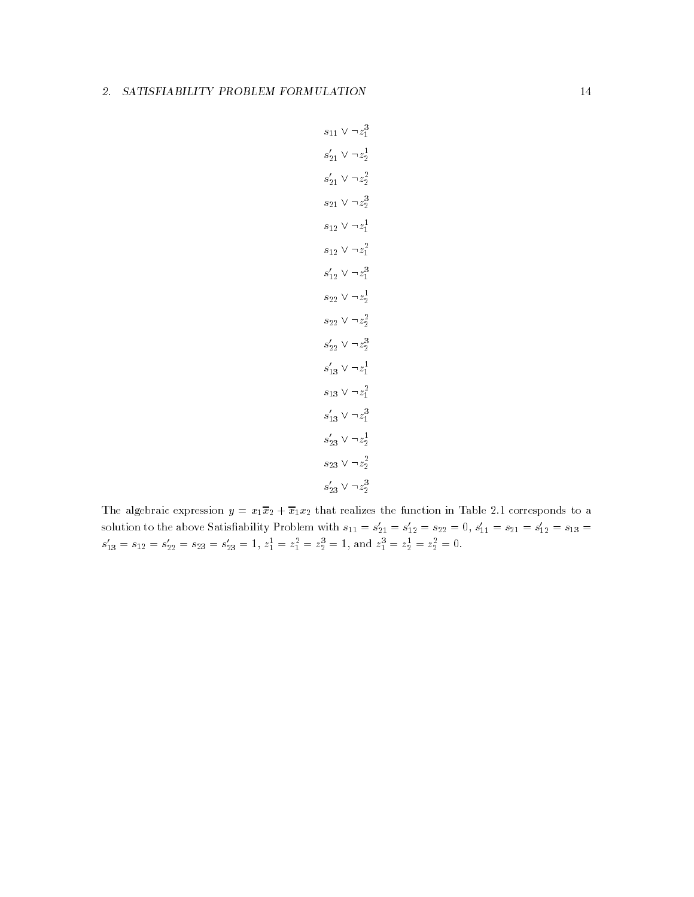$$
s_{11} \vee \neg z_1^3
$$
  
\n
$$
s'_{21} \vee \neg z_2^1
$$
  
\n
$$
s'_{21} \vee \neg z_2^2
$$
  
\n
$$
s_{21} \vee \neg z_2^3
$$
  
\n
$$
s_{12} \vee \neg z_1^1
$$
  
\n
$$
s_{12} \vee \neg z_1^2
$$
  
\n
$$
s'_{12} \vee \neg z_1^2
$$
  
\n
$$
s'_{22} \vee \neg z_2^2
$$
  
\n
$$
s'_{22} \vee \neg z_2^2
$$
  
\n
$$
s'_{22} \vee \neg z_2^2
$$
  
\n
$$
s'_{13} \vee \neg z_1^2
$$
  
\n
$$
s'_{13} \vee \neg z_1^2
$$
  
\n
$$
s'_{13} \vee \neg z_1^2
$$
  
\n
$$
s'_{23} \vee \neg z_2^2
$$
  
\n
$$
s'_{23} \vee \neg z_2^2
$$
  
\n
$$
s'_{23} \vee \neg z_2^3
$$

 $\mathbf{z}$  algebraic expression  $\mathbf{y}$  and  $\mathbf{z}$  in Table  $\mathbf{y}$  corresponds to a correspond to a corresponding to a corresponding to a corresponding to a corresponding to a corresponding to a corresponding to a corr solution to the above satisfiability Problem with  $s_{11} = s_{21} = s_{12} = s_{22} = 0, s_{11} = s_{21} = s_{12} = s_{13} =$  $s_{13} = s_{12} = s_{22} = s_{23} = s_{23} = 1, z_1 = z_1 = z_2 = 1, \text{ and } z_1 = z_2 = z_2 = 0.$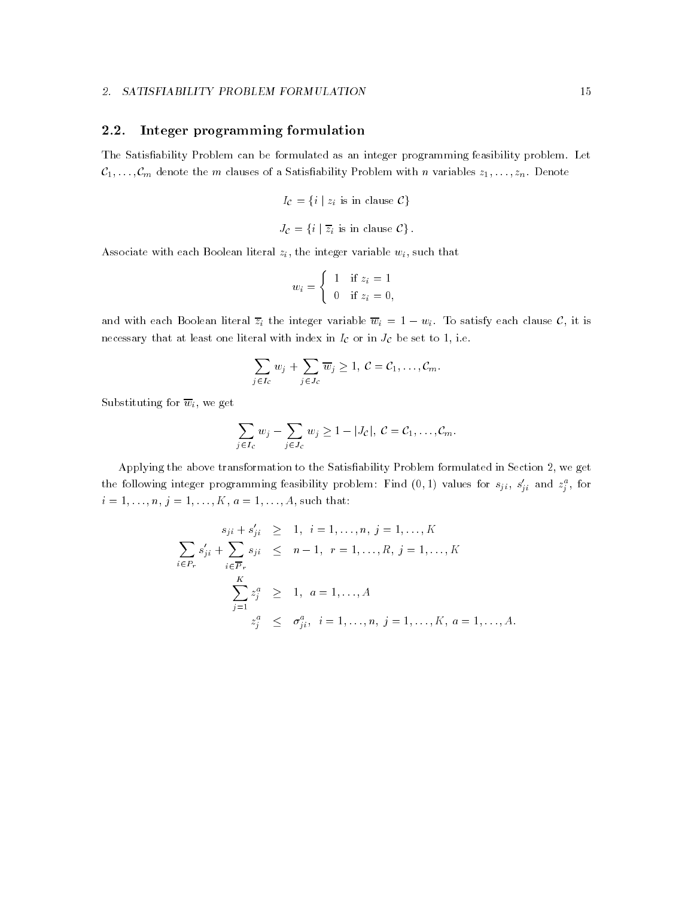### SATISFIABILITY PROBLEM FORMULATION

# 2.2. Integer programming formulation

The Satisfiability Problem can be formulated as an integer programming feasibility problem. Let rich and m classic class of a Satisfacture of a Satisfacture of  $\mathcal{J}_1$  is respectively as a set of a set of a set of a set of a

$$
I_{\mathcal{C}} = \{i \mid z_i \text{ is in clause } \mathcal{C}\}
$$

$$
J_{\mathcal{C}} = \{i \mid \overline{z}_i \text{ is in clause } \mathcal{C}\}.
$$

Associate with each Boolean literal  $z_i$ , the integer variable  $w_i$ , such that

$$
w_i = \begin{cases} 1 & \text{if } z_i = 1 \\ 0 & \text{if } z_i = 0, \end{cases}
$$

and with each Boolean literal  $\overline{z}_i$  the integer variable  $\overline{w}_i = 1 - w_i$ . To satisfy each clause C, it is necessary that at least one literal with index in  $I_c$  or in  $J_c$  be set to 1, i.e.

$$
\sum_{j\in I_c} w_j + \sum_{j\in J_c} \overline{w}_j \geq 1, \ C = C_1, \ldots, C_m.
$$

Substituting for  $\overline{w}_i$ , we get

$$
\sum_{j\in I_c} w_j - \sum_{j\in J_c} w_j \geq 1 - |J_c|, \mathcal{C} = \mathcal{C}_1, \ldots, \mathcal{C}_m.
$$

Applying the above transformation to the Satisfiability Problem formulated in Section 2, we get the following integer programming feasibility problem: Find  $(0, 1)$  values for  $s_{j,i}$ ,  $s_{j,i}$  and  $z_{j}$ , for i - - -n j - - -K a - - -A such that

$$
s_{ji} + s'_{ji} \geq 1, \ i = 1, ..., n, \ j = 1, ..., K
$$
  

$$
\sum_{i \in P_r} s'_{ji} + \sum_{i \in \overline{P}_r} s_{ji} \leq n - 1, \ r = 1, ..., R, \ j = 1, ..., K
$$
  

$$
\sum_{j=1}^{K} z_j^a \geq 1, \ a = 1, ..., A
$$
  

$$
z_j^a \leq \sigma_{ji}^a, \ i = 1, ..., n, \ j = 1, ..., K, \ a = 1, ..., A.
$$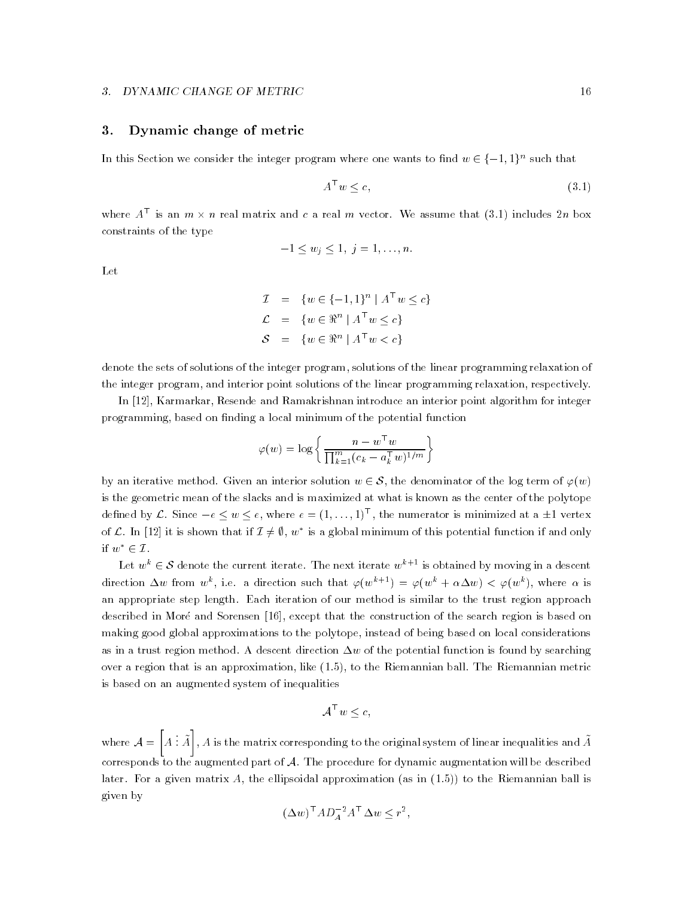### DYNAMIC CHANGE OF METRIC

## Dynamic change of metric

In this Section we consider the integer program where one wants to mid  $w \in \{-1,1\}$  -such that

$$
A^{\top} w \le c,\tag{3.1}
$$

where  $A$  is an  $m \times n$  real matrix and  $c$  a real  $m$  vector. We assume that  $(5.1)$  includes  $2n$  box constraints of the type

$$
-1\leq w_j\leq 1,\ j=1,\ldots,n.
$$

Let

$$
\mathcal{I} = \{ w \in \{-1, 1\}^n \mid A^\top w \le c \}
$$

$$
\mathcal{L} = \{ w \in \Re^n \mid A^\top w \le c \}
$$

$$
\mathcal{S} = \{ w \in \Re^n \mid A^\top w < c \}
$$

denote the sets of solutions of the integer program, solutions of the linear programming relaxation of the integer program, and interior point solutions of the linear programming relaxation, respectively.

In [12], Karmarkar, Resende and Ramakrishnan introduce an interior point algorithm for integer programming, based on finding a local minimum of the potential function

$$
\varphi(w) = \log \left\{ \frac{n - w^\top w}{\prod_{k=1}^m (c_k - a_k^\top w)^{1/m}} \right\}
$$

by an iterative method. Given an interior solution  $w \in \mathcal{S}$ , the denominator of the log term of  $\varphi(w)$ is the geometric mean of the slacks and is maximized at what is known as the center of the polytope denned by  $L$  . Since  $-e \leq w \leq e$ , where  $e = (1, \ldots, 1)$  , the numerator is minimized at a  $\pm 1$  vertex of  $\mathcal{L}$  . In [12] it is shown that if  $\mathcal{I} \neq \emptyset$ ,  $w$  is a global minimum of this potential function if and only if  $w^* \in \mathcal{I}$ .

Let  $w^+ \in \mathcal{S}$  denote the current iterate. The next iterate  $w^{++}$  is obtained by moving in a descent direction  $\Delta w$  from w , i.e. a direction such that  $\varphi(w^{n+1}) = \varphi(w^{n} + \alpha \Delta w) < \varphi(w^{n})$ , where  $\alpha$  is an appropriate step length. Each iteration of our method is similar to the trust region approach described in Moré and Sorensen [16], except that the construction of the search region is based on making good global approximations to the polytope, instead of being based on local considerations as in a trust region method. A descent direction  $\Delta w$  of the potential function is found by searching over a region that is an approximation, like  $(1.5)$ , to the Riemannian ball. The Riemannian metric is based on an augmented system of inequalities

$$
\mathcal{A}^{\top} w \leq c,
$$

where  $\mathcal{A} = \begin{bmatrix} A \ \vdots \ \tilde{A} \end{bmatrix}$ , A is the matrix corresponding to the original system of linear inequalities and  $\tilde{A}$ corresponds to the augmented part of  $A$ . The procedure for dynamic augmentation will be described later. For a given matrix A, the ellipsoidal approximation (as in  $(1.5)$ ) to the Riemannian ball is given by

$$
(\Delta w)^\top A D_A^{-2} A^\top \Delta w \le r^2,
$$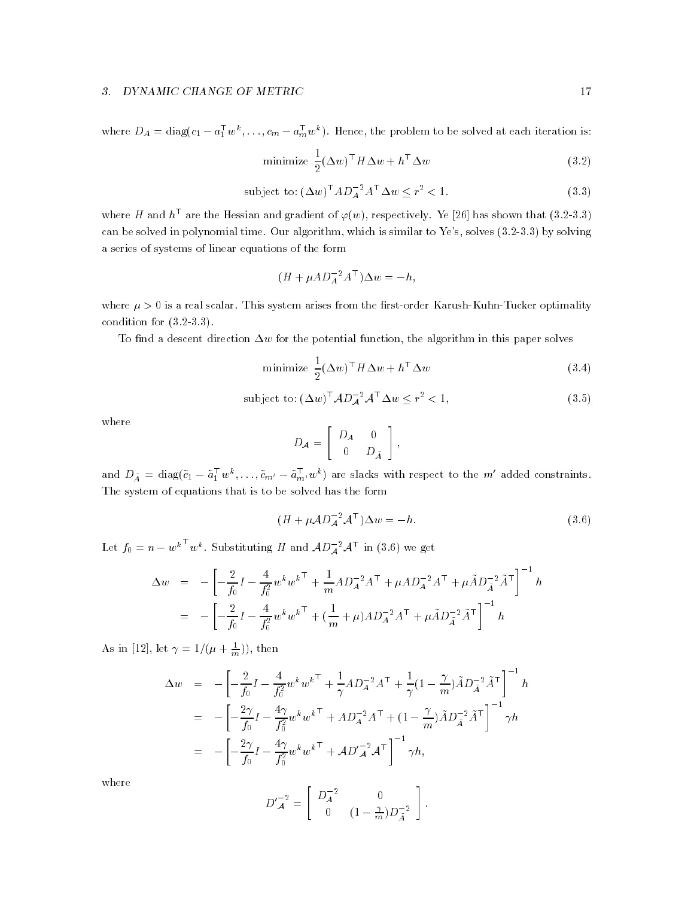where  $D_A = \text{diag}(c_1 - a_1 w_1, \ldots, c_m - a_m w_m)$ . Hence, the problem to be solved at each iteration is:

$$
\text{minimize } \frac{1}{2} (\Delta w)^\top H \Delta w + h^\top \Delta w \tag{3.2}
$$

$$
\text{subject to: } (\Delta w)^\top A D_A^{-2} A^\top \Delta w \le r^2 < 1. \tag{3.3}
$$

where  $H$  and  $h$  are the Hessian and gradient of  $\varphi(w)$ , respectively. Te  $|z_0|$  has shown that (5.2-5.5) can be solved in polynomial time. Our algorithm, which is similar to Ye's, solves  $(3.2-3.3)$  by solving a series of systems of linear equations of the form

$$
(H + \mu A D_A^{-2} A^{\top}) \Delta w = -h,
$$

where  $\mu > 0$  is a real scalar. This system arises from the first-order Karush-Kuhn-Tucker optimality condition for  $(3.2-3.3)$ .

To find a descent direction  $\Delta w$  for the potential function, the algorithm in this paper solves

$$
\text{minimize } \frac{1}{2} (\Delta w)^\mathsf{T} H \Delta w + h^\mathsf{T} \Delta w \tag{3.4}
$$

$$
\text{subject to: } (\Delta w)^\top A D_{\mathcal{A}}^{-2} \mathcal{A}^\top \Delta w \le r^2 < 1,\tag{3.5}
$$

where

$$
D_{\mathcal{A}} = \left[ \begin{array}{cc} D_A & 0 \\ 0 & D_{\tilde{A}} \end{array} \right],
$$

and  $D_{\tilde{A}} = \text{diag}(c_1 - a_1 w_1, \ldots, c_{m'} - a_{m'} w_n)$  are slacks with respect to the m added constraints. The system of equations that is to be solved has the form

$$
(H + \mu A D_{\mathcal{A}}^{-2} \mathcal{A}^{\mathsf{T}}) \Delta w = -h. \tag{3.6}
$$

Let  $f_0 = n - w^k$  w<sup>k</sup>. Substituting H and  $A D_A^{-2} A^+$  in (3.6) we get

$$
\Delta w = -\left[ -\frac{2}{f_0} I - \frac{4}{f_0^2} w^k w^{k \top} + \frac{1}{m} A D_A^{-2} A^{\top} + \mu A D_A^{-2} A^{\top} + \mu \tilde{A} D_{\tilde{A}}^{-2} \tilde{A}^{\top} \right]^{-1} h
$$
  
= 
$$
- \left[ -\frac{2}{f_0} I - \frac{4}{f_0^2} w^k w^{k \top} + \left( \frac{1}{m} + \mu \right) A D_A^{-2} A^{\top} + \mu \tilde{A} D_A^{-2} \tilde{A}^{\top} \right]^{-1} h
$$

As in [12], let  $\gamma = 1/(\mu + \frac{1}{m})$ , then

$$
\Delta w = -\left[ -\frac{2}{f_0} I - \frac{4}{f_0^2} w^k w^{k\top} + \frac{1}{\gamma} A D_A^{-2} A^\top + \frac{1}{\gamma} (1 - \frac{\gamma}{m}) \tilde{A} D_{\tilde{A}}^{-2} \tilde{A}^\top \right]^{-1} h
$$
  
\n
$$
= -\left[ -\frac{2\gamma}{f_0} I - \frac{4\gamma}{f_0^2} w^k w^{k\top} + A D_A^{-2} A^\top + (1 - \frac{\gamma}{m}) \tilde{A} D_{\tilde{A}}^{-2} \tilde{A}^\top \right]^{-1} \gamma h
$$
  
\n
$$
= -\left[ -\frac{2\gamma}{f_0} I - \frac{4\gamma}{f_0^2} w^k w^{k\top} + A D_A^{-2} A^\top \right]^{-1} \gamma h,
$$

where

$$
D'_{\mathcal{A}}^{-2} = \begin{bmatrix} D_{\mathcal{A}}^{-2} & 0 \\ 0 & (1 - \frac{\gamma}{m}) D_{\mathcal{A}}^{-2} \end{bmatrix}.
$$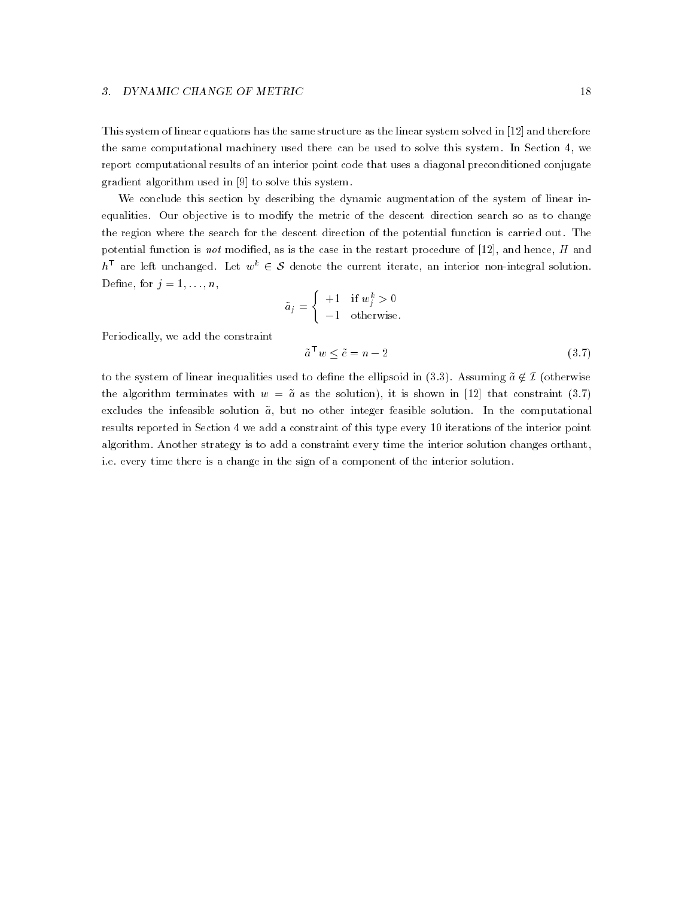#### DYNAMIC CHANGE OF METRIC

This system of linear equations has the same structure as the linear system solved in  $[12]$  and therefore the same computational machinery used there can be used to solve this system. In Section 4, we report computational results of an interior point code that uses a diagonal preconditioned conjugate gradient algorithm used in the system of the system of the system of the system of the system of the system of

We conclude this section by describing the dynamic augmentation of the system of linear in equalities Our objective is to modify the metric of the descent direction search so as to change the region where the search for the descent direction of the potential function is carried out The potential function is not modified, as is the case in the restart procedure of  $[12]$ , and hence, H and  $n$  are left unchanged. Let  $w_{\cdot}\in\mathcal{S}$  denote the current iterate, an interior non-integral solution. Dene for j - - -n 

$$
\tilde{a}_j = \begin{cases}\n+1 & \text{if } w_j^k > 0 \\
-1 & \text{otherwise.} \n\end{cases}
$$

Periodically, we add the constraint

$$
\tilde{a}^{\top} w \le \tilde{c} = n - 2 \tag{3.7}
$$

to the system of linear inequalities used to define the ellipsoid in  $(3.3)$ . Assuming  $\tilde{a} \notin \mathcal{I}$  (otherwise the algorithm terminates with  $w = \tilde{a}$  as the solution), it is shown in [12] that constraint (3.7) excludes the infeasible solution  $\tilde{a}$ , but no other integer feasible solution. In the computational results reported in Section 4 we add a constraint of this type every 10 iterations of the interior point algorithm. Another strategy is to add a constraint every time the interior solution changes orthant, i.e. every time there is a change in the sign of a component of the interior solution.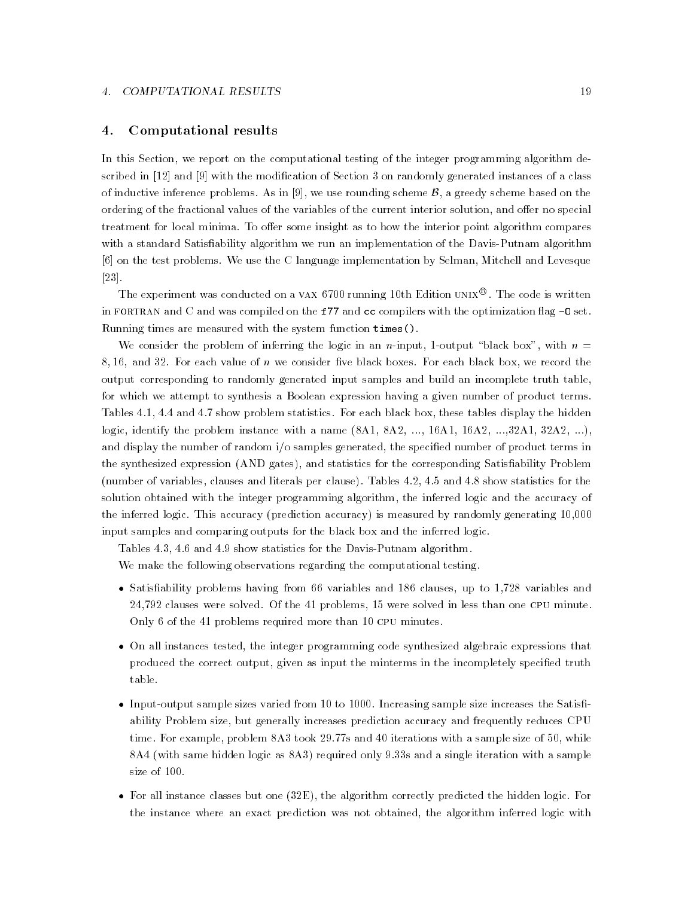# Computational results

In this Section, we report on the computational testing of the integer programming algorithm described in and - with the modication of Section on randomly generated instances of a class of inductive inference problems as in  $\vert \cdot \vert$  and the scheme  $\pi$  and the problems and the scheme based on the ordering of the fractional values of the variables of the current interior solution, and offer no special treatment for local minima. To offer some insight as to how the interior point algorithm compares with a standard Satisfiability algorithm we run an implementation of the Davis-Putnam algorithm  $[6]$  on the test problems. We use the C language implementation by Selman, Mitchell and Levesque  $\left\lceil 23\right\rceil$ .

The experiment was conducted on a VAX 6700 running 10th Edition UNIX $^\circ$  . The code is written that in fortrand and compiled on the first with the form of the optimization  $\alpha$  set  $\alpha$  set  $\alpha$ Running times are measured with the system function times ().

We consider the problem of inferring the logic in an n-input, 1-output "black box", with  $n =$ 8.16, and 32. For each value of n we consider five black boxes. For each black box, we record the output corresponding to randomly generated input samples and build an incomplete truth table for which we attempt to synthesis a Boolean expression having a given number of product terms Tables 4.1, 4.4 and 4.7 show problem statistics. For each black box, these tables display the hidden logic, identify the problem instance with a name  $(8A1, 8A2, ..., 16A1, 16A2, ..., 32A1, 32A2, ...)$ and display the number of random  $i/\sigma$  samples generated, the specified number of product terms in the synthesized expression (AND gates), and statistics for the corresponding Satisfiability Problem (number of variables, clauses and literals per clause). Tables  $4.2, 4.5$  and  $4.8$  show statistics for the solution obtained with the integer programming algorithm, the inferred logic and the accuracy of the inferred logic. This accuracy (prediction accuracy) is measured by randomly generating  $10,000$ input samples and comparing outputs for the black box and the inferred logic

- and the Party and the Davis Complete for the Davis Putnam algorithment.

We make the following observations regarding the computational testing.

- Satisability problems having from variables and clauses up to variables and - clauses were solved in less than one complete the solved in less than one complete than one complete than  $\sim$ Only 6 of the 41 problems required more than 10 CPU minutes.
- On all instances tested the integer programming code synthesized algebraic expressions that produced the correct output, given as input the minterms in the incompletely specified truth table
- Inputoutput sample sizes varied from  to  Increasing sample size increases the Satis ability Problem size, but generally increases prediction accuracy and frequently reduces CPU time  $\mathbb{R}$  took - and  $\mathbb{R}$  took - and  $\mathbb{R}$  took - and  $\mathbb{R}$  sample size of  $\mathbb{R}$ A
 with same hidden logic as A required only -s and a single iteration with a sample size of 100.
- For all instance classes but one Eq. ( ) and the algorithm correctly predicted the hidden logic  $\Gamma$ the instance where an exact prediction was not obtained, the algorithm inferred logic with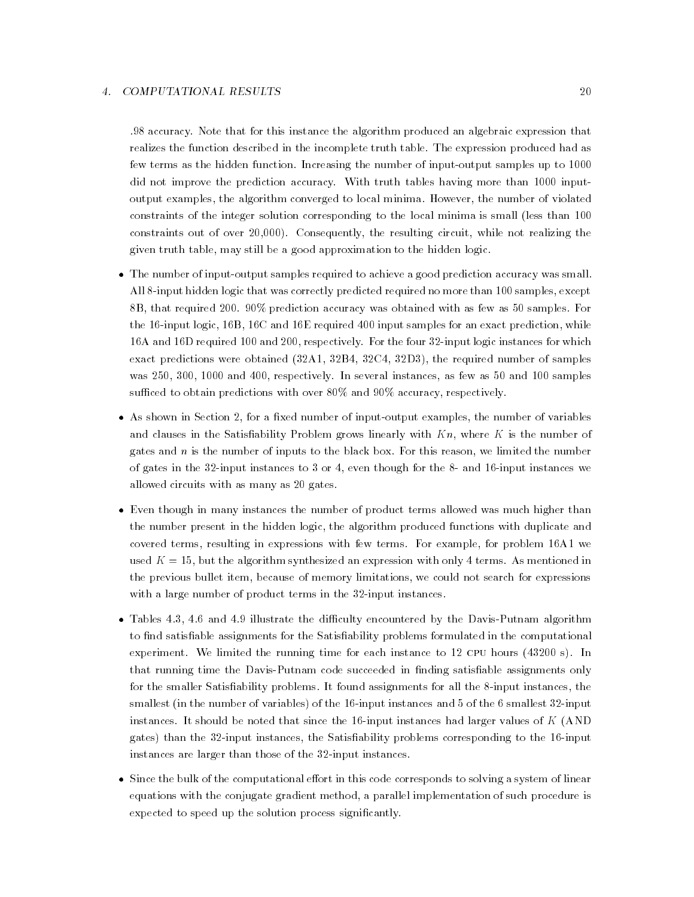- accuracy Note that for this instance the algorithm produced an algebraic expression that realizes the function described in the incomplete truth table The expression produced had as few terms as the hidden function. Increasing the number of input-output samples up to 1000 did not improve the prediction accuracy. With truth tables having more than 1000 inputoutput examples, the algorithm converged to local minima. However, the number of violated constraints of the integer solution corresponding to the local minima is small (less than 100 constraints out of over  $20,000$ ). Consequently, the resulting circuit, while not realizing the given truth table, may still be a good approximation to the hidden logic.

- The number of input samples required to achieve a good prediction accuracy was smaller to achieve a good prediction accuracy was smaller to achieve a good prediction accuracy was smaller to achieve a good prediction accur All 8-input hidden logic that was correctly predicted required no more than 100 samples, except . Both the prediction of the state of the state of the state of the state of the state of the state of the sta the  $16$ -input logic,  $16B$ ,  $16C$  and  $16E$  required  $400$  input samples for an exact prediction, while 16A and 16D required 100 and 200, respectively. For the four 32-input logic instances for which exact predictions were obtained  $(32A1, 32B4, 32C4, 32D3)$ , the required number of samples was 250, 300, 1000 and 400, respectively. In several instances, as few as 50 and 100 samples such that the contributions with over  $\mathbb{R}^n$  and  $\mathbb{R}^n$  respectively. The contributions with over  $\mathbb{R}^n$
- As shown in Section 2, 200 in Section Blues of the number of variables in the number of variables of variables and clauses in the Satisfiability Problem grows linearly with  $Kn$ , where K is the number of gates and  $n$  is the number of inputs to the black box. For this reason, we limited the number of gates in the 32-input instances to  $3$  or  $4$ , even though for the 8- and 16-input instances we allowed circuits with as many as 20 gates.
- Even the number of product terms allowed was much higher than  $\mathbf{H}$ the number present in the hidden logic, the algorithm produced functions with duplicate and covered terms, resulting in expressions with few terms. For example, for problem 16A1 we used  $K = 15$ , but the algorithm synthesized an expression with only 4 terms. As mentioned in the previous bullet item, because of memory limitations, we could not search for expressions with a large number of product terms in the  $32$ -input instances.
- Tables the diculture the diculture the diculture of the diculture of the Davis Putnam algorithment of the Davis to find satisfiable assignments for the Satisfiability problems formulated in the computational experiment. We limited the running time for each instance to  $12$  CPU hours  $(43200 s)$ . In that running time the Davis-Putnam code succeeded in finding satisfiable assignments only for the smaller Satisfiability problems. It found assignments for all the  $\delta$ -input instances, the smallest (in the number of variables) of the 16-input instances and 5 of the 6 smallest 32-input instances. It should be noted that since the 16-input instances had larger values of  $K$  (AND) gates) than the 32-input instances, the Satisfiability problems corresponding to the 16-input instances are larger than those of the 32-input instances.
- Since the bulk of the computational eort in this code corresponds to solving a system of linear equations with the conjugate gradient method, a parallel implementation of such procedure is expected to speed up the solution process significantly.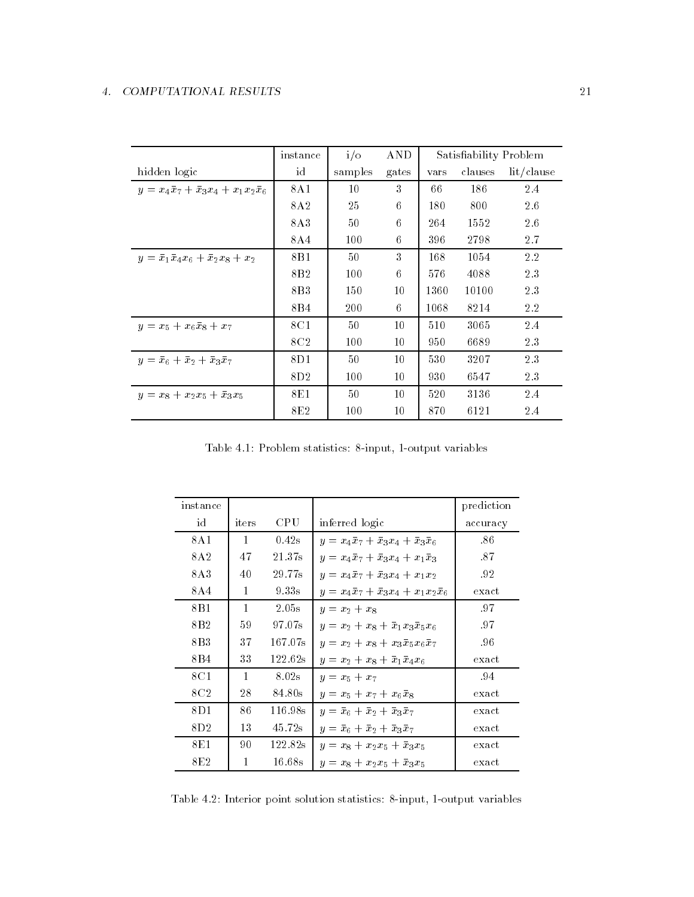|                                                     | instance        | $i$ o   | AND   |      | Satisfiability Problem |            |
|-----------------------------------------------------|-----------------|---------|-------|------|------------------------|------------|
| hidden logic                                        | id              | samples | gates | vars | clauses                | lit/clause |
| $y = x_4\bar{x}_7 + \bar{x}_3x_4 + x_1x_2\bar{x}_6$ | 8A1             | 10      | 3     | 66   | 186                    | 2.4        |
|                                                     | 8A2             | 25      | 6     | 180  | 800                    | 2.6        |
|                                                     | 8A3             | 50      | 6     | 264  | 1552                   | 2.6        |
|                                                     | 8A4             | 100     | 6     | 396  | 2798                   | 2.7        |
| $y = \bar{x}_1 \bar{x}_4 x_6 + \bar{x}_2 x_8 + x_2$ | 8B1             | 50      | 3     | 168  | 1054                   | 2.2        |
|                                                     | 8 <sub>B2</sub> | 100     | 6     | 576  | 4088                   | 2.3        |
|                                                     | 8B3             | 150     | 10    | 1360 | 10100                  | 2.3        |
|                                                     | 8B4             | 200     | 6     | 1068 | 8214                   | 2.2        |
| $y = x_5 + x_6\bar{x}_8 + x_7$                      | 8C1             | 50      | 10    | 510  | 3065                   | 2.4        |
|                                                     | 8C2             | 100     | 10    | 950  | 6689                   | 2.3        |
| $y = \bar{x}_6 + \bar{x}_2 + \bar{x}_3\bar{x}_7$    | 8D1             | 50      | 10    | 530  | 3207                   | 2.3        |
|                                                     | 8D2             | 100     | 10    | 930  | 6547                   | 2.3        |
| $y = x_8 + x_2x_5 + \bar{x}_3x_5$                   | 8E1             | 50      | 10    | 520  | 3136                   | 2.4        |
|                                                     | 8E2             | 100     | 10    | 870  | 6121                   | 2.4        |

Table statistics in put we have a statistically considered the control of the control of the control of the control of the control of the control of the control of the control of the control of the control of the control o

| instance        |              |         |                                                        | prediction |
|-----------------|--------------|---------|--------------------------------------------------------|------------|
| id              | iters        | CPU     | inferred logic                                         | accuracy   |
| 8A1             | $\mathbf{1}$ | 0.42s   | $y = x_4\bar{x}_7 + \bar{x}_3x_4 + \bar{x}_3\bar{x}_6$ | .86        |
| 8A2             | 47           | 21.37s  | $y = x_4\bar{x}_7 + \bar{x}_3x_4 + x_1\bar{x}_3$       | .87        |
| 8A3             | 40           | 29.77s  | $y = x_4\bar{x}_7 + \bar{x}_3x_4 + x_1x_2$             | -92        |
| 8A4             | $\mathbf{1}$ | 9.33s   | $y = x_4\bar{x}_7 + \bar{x}_3x_4 + x_1x_2\bar{x}_6$    | exact      |
| 8B1             | $\mathbf{1}$ | 2.05s   | $y = x_2 + x_8$                                        | -97        |
| 8B <sub>2</sub> | 59           | 97.07s  | $y = x_2 + x_8 + \bar{x}_1 x_3 \bar{x}_5 x_6$          | -97        |
| 8B3             | 37           | 167.07s | $y = x_2 + x_8 + x_3\bar{x}_5x_6\bar{x}_7$             | .96        |
| 8B4             | 33           | 122.62s | $y = x_2 + x_8 + \bar{x}_1 \bar{x}_4 x_6$              | exact      |
| 8C1             | $\mathbf{1}$ | 8.02s   | $y = x_5 + x_7$                                        | -94        |
| 8C2             | 28           | 84.80s  | $y = x_5 + x_7 + x_6 \bar{x}_8$                        | exact      |
| 8D1             | 86           | 116.98s | $y = \bar{x}_6 + \bar{x}_2 + \bar{x}_3\bar{x}_7$       | exact      |
| 8D2             | 13           | 45.72s  | $y = \bar{x}_6 + \bar{x}_2 + \bar{x}_3\bar{x}_7$       | exact      |
| 8E1             | 90           | 122.82s | $y = x_8 + x_2x_5 + \bar{x}_3x_5$                      | exact      |
| 8E2             | $\mathbf{1}$ | 16.68s  | $y = x_8 + x_2x_5 + \bar{x}_3x_5$                      | exact      |

Table solution statistics in put variables in put variables to the control output variables of the control output variables of the control of the control of the control of the control of the control of the control of the c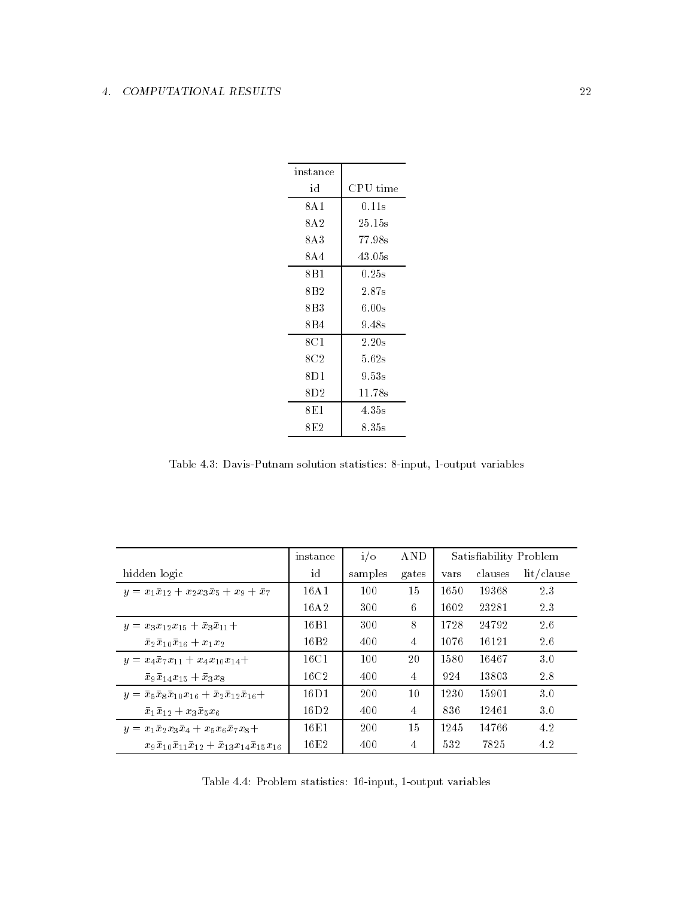| instance       |                  |
|----------------|------------------|
| id             | CPU time         |
| 8 A 1          | 0.11s            |
| 8A2            | 25.15s           |
| 8A3            | 77.98s           |
| 8 A 4          | 43.05s           |
| 8B 1           | $0.25\mathrm{s}$ |
| 8B2            | 2.87s            |
| 8B3            | $6.00\mathrm{s}$ |
| 8B4            | 9.48s            |
| 8C1            | 2.20s            |
| 8C2            | $5.62\mathrm{s}$ |
| 8D1            | 9.53s            |
| $8\mathrm{D}2$ | 11.78s           |
| $8\mathrm{E}1$ | 4.35s            |
| 8E2            | 8.35s            |

Table statistics in putnament in putnament in putnament in putnament in putnament in putnament in putnament in

|                                                                                       | instance         | $i/\circ$ | <b>AND</b> |      | Satisfiability Problem |            |
|---------------------------------------------------------------------------------------|------------------|-----------|------------|------|------------------------|------------|
| hidden logic                                                                          | id               | samples   | gates      | vars | clauses                | lit/clause |
| $y = x_1 \bar{x}_{12} + x_2 x_3 \bar{x}_5 + x_9 + \bar{x}_7$                          | 16 A 1           | 100       | 15         | 1650 | 19368                  | 23         |
|                                                                                       | 16A2             | 300       | 6          | 1602 | 23281                  | 2.3        |
| $y = x_3x_{12}x_{15} + \bar{x}_3\bar{x}_{11} +$                                       | 16B1             | 300       | 8          | 1728 | 24792                  | 2.6        |
| $\bar{x}_2 \bar{x}_{10} \bar{x}_{16} + x_1 x_2$                                       | 16B <sub>2</sub> | 400       | 4          | 1076 | 16121                  | 2.6        |
| $y = x_4 \bar{x}_7 x_{11} + x_4 x_{10} x_{14} +$                                      | 16C1             | 100       | 20         | 1580 | 16467                  | 3.0        |
| $\bar{x}_9\bar{x}_{14}x_{15}+\bar{x}_3x_8$                                            | 16C2             | 400       | 4          | 924  | 13803                  | 2.8        |
| $y = \bar{x}_5 \bar{x}_8 \bar{x}_{10} x_{16} + \bar{x}_2 \bar{x}_{12} \bar{x}_{16} +$ | 16D1             | 200       | 10         | 1230 | 15901                  | 3.0        |
| $\bar{x}_1\bar{x}_{12} + x_3\bar{x}_5x_6$                                             | 16D <sub>2</sub> | 400       | 4          | 836  | 12461                  | 3.0        |
| $y = x_1 \bar{x}_2 x_3 \bar{x}_4 + x_5 x_6 \bar{x}_7 x_8 +$                           | 16E1             | 200       | 15         | 1245 | 14766                  | 4.2        |
| $x_9\bar{x}_{10}\bar{x}_{11}\bar{x}_{12} + \bar{x}_{13}x_{14}\bar{x}_{15}x_{16}$      | 16E2             | 400       | 4          | 532  | 7825                   | 4.2        |

<u>statistics in problem statistics</u> in the stap will be stated in the statistics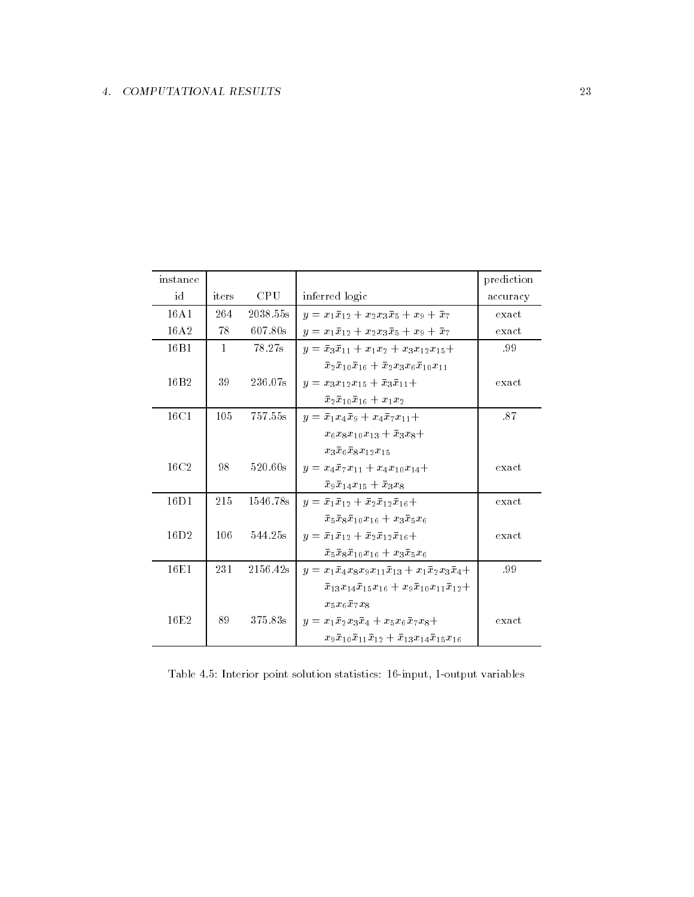| instance         |              |          |                                                                                  | prediction |
|------------------|--------------|----------|----------------------------------------------------------------------------------|------------|
| id               | iters        | CPU.     | inferred logic                                                                   | accuracy   |
| 16A1             | 264          | 2038.55s | $y = x_1 \bar{x}_{12} + x_2 x_3 \bar{x}_5 + x_9 + \bar{x}_7$                     | exact      |
| 16A2             | 78           | 607.80s  | $y = x_1 \bar{x}_{12} + x_2 x_3 \bar{x}_5 + x_9 + \bar{x}_7$                     | exact      |
| 16 <sub>B1</sub> | $\mathbf{1}$ | 78.27s   | $y = \bar{x}_3 \bar{x}_{11} + x_1 x_2 + x_3 x_{12} x_{15} +$                     | -99        |
|                  |              |          | $\bar{x}_2 \bar{x}_{10} \bar{x}_{16} + \bar{x}_2 x_3 x_6 \bar{x}_{10} x_{11}$    |            |
| 16 <sub>B2</sub> | 39           | 236.07s  | $y = x_3x_{12}x_{15} + \bar{x}_3\bar{x}_{11} +$                                  | exact      |
|                  |              |          | $\bar{x}_2 \bar{x}_{10} \bar{x}_{16} + x_1 x_2$                                  |            |
| 16C1             | 105          | 757.55s  | $y = \bar{x}_1 x_4 \bar{x}_9 + x_4 \bar{x}_7 x_{11} +$                           | .87        |
|                  |              |          | $x_6x_8x_{10}x_{13} + \bar{x}_3x_8 +$                                            |            |
|                  |              |          | $x_3\bar{x}_6\bar{x}_8x_1, x_{15}$                                               |            |
| 16C2             | 98           | 520.60s  | $y = x_4 \bar{x}_7 x_{11} + x_4 x_{10} x_{14} +$                                 | exact      |
|                  |              |          | $\bar{x}_9 \bar{x}_{14} x_{15} + \bar{x}_3 x_8$                                  |            |
| 16D1             | 215          | 1546.78s | $y = \bar{x}_1 \bar{x}_{12} + \bar{x}_2 \bar{x}_{12} \bar{x}_{16} +$             | exact      |
|                  |              |          | $\bar{x}_5 \bar{x}_8 \bar{x}_{10} x_{16} + x_3 \bar{x}_5 x_6$                    |            |
| 16D2             | 106          | 544 25s  | $y = \bar{x}_1 \bar{x}_{12} + \bar{x}_2 \bar{x}_{12} \bar{x}_{16} +$             | exact      |
|                  |              |          | $\bar{x}_5 \bar{x}_8 \bar{x}_{10} x_{16} + x_3 \bar{x}_5 x_6$                    |            |
| 16E1             | 231          | 2156.42s | $y = x_1 \bar{x}_4 x_8 x_9 x_{11} \bar{x}_{13} + x_1 \bar{x}_2 x_3 \bar{x}_4 +$  | -99        |
|                  |              |          | $\bar{x}_{13}x_{14}\bar{x}_{15}x_{16} + x_9\bar{x}_{10}x_{11}\bar{x}_{12} +$     |            |
|                  |              |          | $x_5x_6\bar{x}_7x_8$                                                             |            |
| 16E2             | 89           | 375.83s  | $y = x_1 \bar{x}_2 x_3 \bar{x}_4 + x_5 x_6 \bar{x}_7 x_8 +$                      | exact      |
|                  |              |          | $x_9\bar{x}_{10}\bar{x}_{11}\bar{x}_{12} + \bar{x}_{13}x_{14}\bar{x}_{15}x_{16}$ |            |

Table solution statistics in put variables in put variables in put variables in put variables in put variables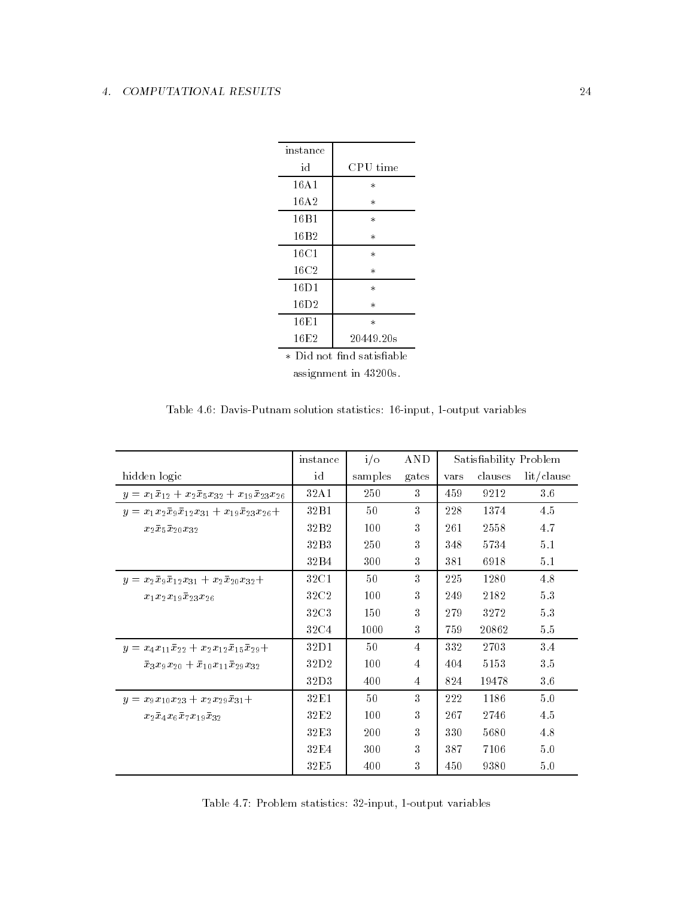| instance         |           |
|------------------|-----------|
| id               | CPU time  |
| 16A1             | $\ast$    |
| 16A2             | $\ast$    |
| 16 B 1           | $\ast$    |
| 16B <sub>2</sub> | $\ast$    |
| 16C1             | $\ast$    |
| 16C2             | $^\ast$   |
| 16D1             | $\ast$    |
| 16D <sub>2</sub> | $\ast$    |
| 16E1             | $\ast$    |
| 16E2             | 20449.20s |

 $\ast$  Did not find satisfiable assignment in 43200s.

Table DavisPutnam solution statistics input output variables

|                                                                                           | instance         | $i$ o   | AND   |      | Satisfiability Problem |             |
|-------------------------------------------------------------------------------------------|------------------|---------|-------|------|------------------------|-------------|
| hidden logic                                                                              | id               | samples | gates | vars | clauses                | lit/clause  |
| $y = x_1 \bar{x}_{12} + x_2 \bar{x}_5 x_{32} + x_{19} \bar{x}_{23} x_{26}$                | 32A1             | 250     | 3     | 459  | 9212                   | 3.6         |
| $y = x_1 x_2 \overline{x}_9 \overline{x}_{12} x_{31} + x_{19} \overline{x}_{23} x_{26} +$ | 32B1             | 50      | 3     | 228  | 1374                   | 4.5         |
| $x_2\bar{x}_5\bar{x}_{20}x_{32}$                                                          | 32B <sub>2</sub> | 100     | 3     | 261  | 2558                   | 4.7         |
|                                                                                           | 32B3             | 250     | 3     | 348  | 5734                   | 5.1         |
|                                                                                           | 32B4             | 300     | 3     | 381  | 6918                   | 5.1         |
| $y = x_2 \overline{x}_9 \overline{x}_{12} x_{31} + x_2 \overline{x}_{20} x_{32} +$        | 32C1             | 50      | 3     | 225  | 1280                   | 4.8         |
| $x_1x_2x_1_9x_2x_3x_2_6$                                                                  | 32C2             | 100     | 3     | 249  | 2182                   | 53          |
|                                                                                           | 32C3             | 150     | 3     | 279  | 3272                   | 53          |
|                                                                                           | 32C4             | 1000    | 3     | 759  | 20862                  | $5\,$ $5\,$ |
| $y = x_4x_{11}\overline{x}_{22} + x_2x_{12}\overline{x}_{15}\overline{x}_{29} +$          | 32D1             | 50      | 4     | 332  | 2703                   | 3.4         |
| $\bar{x}_3x_9x_20 + \bar{x}_{10}x_{11}\bar{x}_{29}x_{32}$                                 | 32D2             | 100     | 4     | 404  | 5153                   | 35          |
|                                                                                           | 32D3             | 400     | 4     | 824  | 19478                  | 3.6         |
| $y = x_9x_{10}x_{23} + x_2x_{29}x_{31} +$                                                 | 32E1             | 50      | 3     | 222  | 1186                   | 5.0         |
| $x_2\bar{x}_4x_6\bar{x}_7x_{19}\bar{x}_3$                                                 | 32E2             | 100     | 3     | 267  | 2746                   | 4.5         |
|                                                                                           | 32E3             | 200     | 3     | 330  | 5680                   | 4.8         |
|                                                                                           | 32E4             | 300     | 3     | 387  | 7106                   | 5.0         |
|                                                                                           | 32E5             | 400     | 3     | 450  | 9380                   | 5.0         |

Table statistics in put variables to the control of the control output variables of the control output variables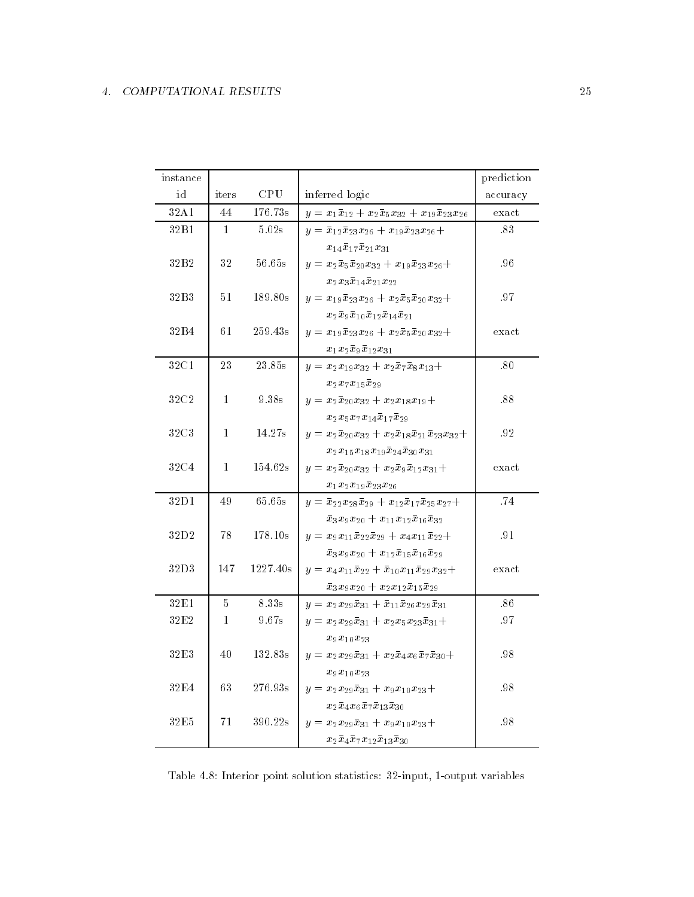| instance         |              |          |                                                                                     | prediction                    |
|------------------|--------------|----------|-------------------------------------------------------------------------------------|-------------------------------|
| id               | iters        | CPU      | inferred logic                                                                      | accuracy                      |
| 32A1             | 44           | 176.73s  | $y = x_1 \bar{x}_{12} + x_2 \bar{x}_5 x_{32} + x_{19} \bar{x}_{23} x_{26}$          | $\boldsymbol{\mathrm{exact}}$ |
| 32B1             | 1            | 5.02s    | $y = \bar{x}_{12}\bar{x}_{23}x_{26} + x_{19}\bar{x}_{23}x_{26} +$                   | .83                           |
|                  |              |          | $x_{14}x_{17}x_{21}x_{31}$                                                          |                               |
| 32B2             | 32           | 56.65s   | $y = x_2 \bar{x}_5 \bar{x}_{20} x_{32} + x_{19} \bar{x}_{23} x_{26} +$              | .96                           |
|                  |              |          | $x_2x_3\bar{x}_14\bar{x}_2_1x_2_2$                                                  |                               |
| 32B3             | 51           | 189.80s  | $y = x_{19} \bar{x}_{23} x_{26} + x_2 \bar{x}_5 \bar{x}_{20} x_{32} +$              | .97                           |
|                  |              |          | $x_2\bar{x}_9\bar{x}_{10}\bar{x}_{12}\bar{x}_{14}\bar{x}_{21}$                      |                               |
| 32B4             | 61           | 259.43s  | $y = x_{19}\bar{x}_{23}x_{26} + x_2\bar{x}_5\bar{x}_{20}x_{32} +$                   | $\operatorname{exact}$        |
|                  |              |          | $x_1x_2\overline{x}_9\overline{x}_1_2x_{31}$                                        |                               |
| 32C1             | 23           | 23.85s   | $y = x_2 x_{19} x_{32} + x_2 \overline{x}_7 \overline{x}_8 x_{13} +$                | .80                           |
|                  |              |          | $x_2x_7x_{15}x_{29}$                                                                |                               |
| 32C <sub>2</sub> | $\mathbf{1}$ | 9.38s    | $y = x_2 \bar{x}_{20} x_{32} + x_2 x_{18} x_{19} +$                                 | .88                           |
|                  |              |          | $x_2x_5x_7x_{14}x_{17}x_{29}$                                                       |                               |
| 32C3             | $\mathbf{1}$ | 14.27s   | $y = x_2 \bar{x}_{20} x_{32} + x_2 \bar{x}_{18} \bar{x}_{21} \bar{x}_{23} x_{32} +$ | .92                           |
|                  |              |          | $x_2x_{15}x_{18}x_{19}x_{24}x_{30}x_{31}$                                           |                               |
| <b>32C4</b>      | $\mathbf{1}$ | 154.62s  | $y = x_2 \bar{x}_{20} x_{32} + x_2 \bar{x}_9 \bar{x}_{12} x_{31} +$                 | exact                         |
|                  |              |          | $x_1x_2x_{19}\bar{x}_{23}x_{26}$                                                    |                               |
| 32D1             | 49           | 65.65s   | $y = \bar{x}_{22}x_{28}\bar{x}_{29} + x_{12}\bar{x}_{17}\bar{x}_{25}x_{27} +$       | .74                           |
|                  |              |          | $\bar{x}_3x_9x_20 + x_{11}x_{12}\bar{x}_{16}\bar{x}_{32}$                           |                               |
| 32D2             | 78           | 178.10s  | $y = x_9 x_{11} \bar{x}_{22} \bar{x}_{29} + x_4 x_{11} \bar{x}_{22} +$              | .91                           |
|                  |              |          | $\bar{x}_3x_9x_20 + x_{12}\bar{x}_{15}\bar{x}_{16}\bar{x}_{29}$                     |                               |
| 32D3             | 147          | 1227.40s | $y = x_4x_{11}\overline{x}_{22} + \overline{x}_{10}x_{11}\overline{x}_{29}x_{32} +$ | exact                         |
|                  |              |          | $\bar{x}_3x_9x_20 + x_2x_{12}\bar{x}_{15}\bar{x}_{29}$                              |                               |
| 32E1             | 5            | 8.33s    | $y = x_2 x_{29} \bar{x}_{31} + \bar{x}_{11} \bar{x}_{26} x_{29} \bar{x}_{31}$       | .86                           |
| 32E2             | $\mathbf{1}$ | 9.67s    | $y = x_2 x_{29} \bar{x}_{31} + x_2 x_5 x_{23} \bar{x}_{31} +$                       | .97                           |
|                  |              |          | $x_9x_{10}x_{23}$                                                                   |                               |
| 32E3             | 40           | 132.83s  | $y = x_2 x_{29} \bar{x}_{31} + x_2 \bar{x}_4 x_6 \bar{x}_7 \bar{x}_{30} +$          | .98                           |
|                  |              |          | $x_9x_{10}x_{23}$                                                                   |                               |
| 32E4             | 63           | 276.93s  | $y = x_2 x_2 x_3 x_1 + x_9 x_1 x_2 x_3 +$                                           | .98                           |
|                  |              |          | $x_2\bar{x}_4x_6\bar{x}_7\bar{x}_{13}\bar{x}_{30}$                                  |                               |
| 32E5             | 71           | 390.22s  | $y = x_2 x_{29} \bar{x}_{31} + x_9 x_{10} x_{23} +$                                 | .98                           |
|                  |              |          | $x_2\bar{x}_4\bar{x}_7\,x_{12}\bar{x}_{13}\bar{x}_{30}$                             |                               |

Table Interior point solution statistics input output variables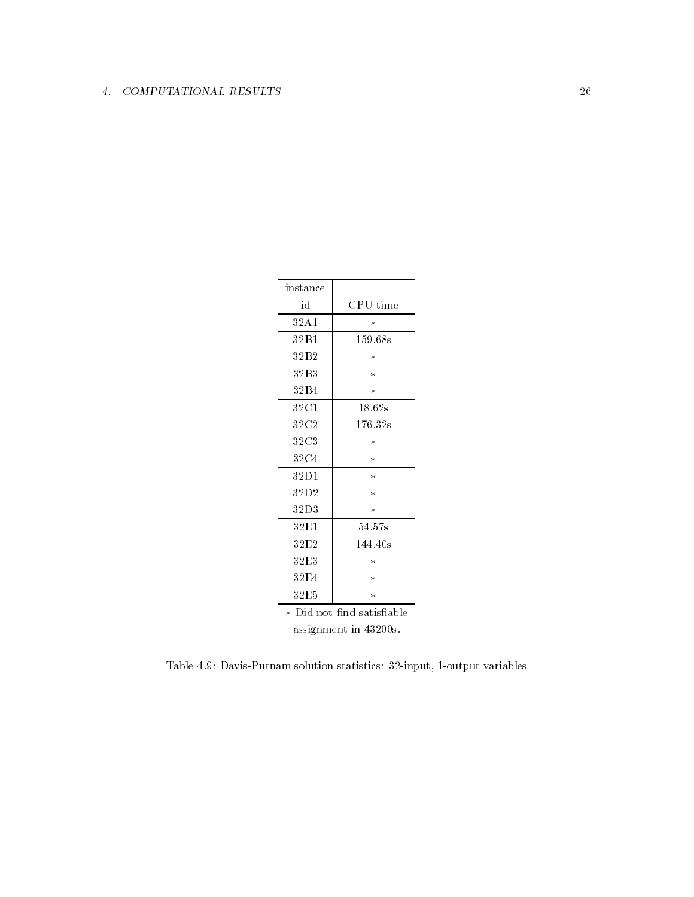| instance         |          |
|------------------|----------|
| id               | CPU time |
| 32A1             | $^\ast$  |
| 32 <sub>B1</sub> | 159.68s  |
| 32B <sub>2</sub> | $\ast$   |
| 32B3             | $^\ast$  |
| 32B4             | $^\ast$  |
| 32C1             | 18.62s   |
| 32C <sub>2</sub> | 176.32s  |
| 32C3             | $\ast$   |
| 32C4             | $^\ast$  |
| 32D1             | $^\ast$  |
| 32D2             | $\ast$   |
| 32D3             | $\ast$   |
| 32E1             | 54.57s   |
| 32E2             | 144.40s  |
| 32E3             | $\ast$   |
| 32E4             | $^\ast$  |
| 32E5             | $^\ast$  |

\* Did not find satisfiable assignment in 43200s.

Table statistics in putnament in putnament in putnament in putnament in putnament in putnament in putnament in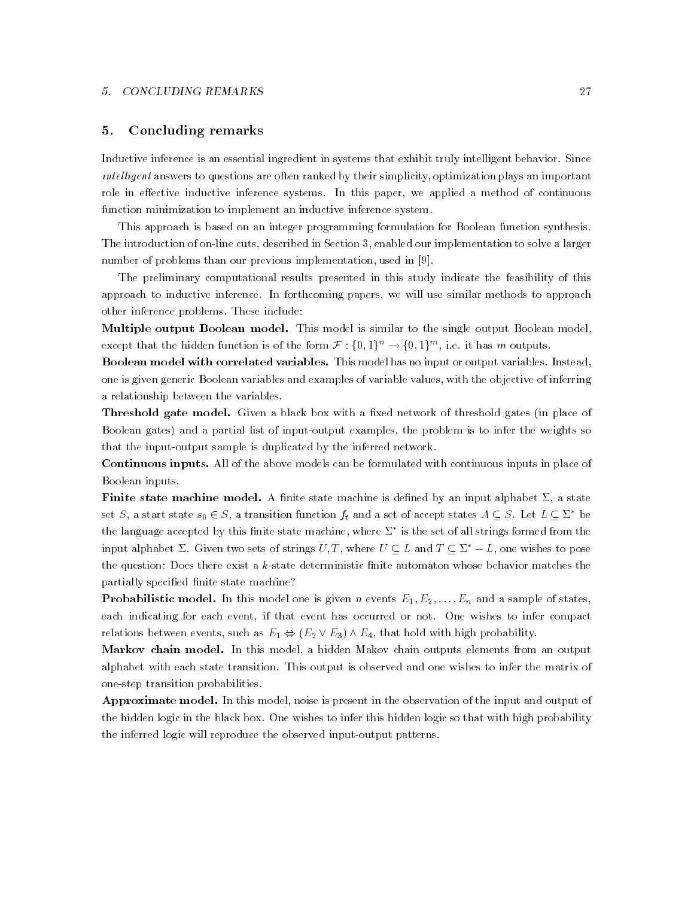#### 5. Concluding remarks

Inductive inference is an essential ingredient in systems that exhibit truly intelligent behavior Since intelligent answers to questions are often ranked by their simplicity, optimization plays an important role in effective inductive inference systems. In this paper, we applied a method of continuous function minimization to implement an inductive inference system

This approach is based on an integer programming formulation for Boolean function synthesis The introduction of on-line cuts, described in Section 3, enabled our implementation to solve a larger number of problems than our problems than our problems than our problems in - problems in - problems in - problems

The preliminary computational results presented in this study indicate the feasibility of this approach to inductive inference. In forthcoming papers, we will use similar methods to approach other inference problems. These include:

model is simpler and a similar model is similar to the single output Boolean model is single output Boolean mod except that the moden function is of the form  $\mathcal{F}:\{0,1\}^{\sim}\to\{0,1\}^{\infty}$ , i.e. it has  $m$  outputs.

- This model with correlated variables - included variables-included in put of the part construction of the co one is given generic Boolean variables and examples of variable values, with the objective of inferring a relationship between the variables

Threshold gate model- Given a black box with a xed network of threshold gates in place of Boolean gates) and a partial list of input-output examples, the problem is to infer the weights so that the input-output sample is duplicated by the inferred network.

Continuous inputs- All of the above models can be formulated with continuous inputs in place of Boolean inputs

Finite state machine model- A nite state machine is dened by an input alphabet a state set S, a start state  $s_0 \in S$ , a transition function  $f_t$  and a set of accept states  $A \subseteq S$ . Let  $L \subseteq \Sigma^*$  be the language accepted by this ninte state machine, where  $\varSigma$  is the set of all strings formed from the input alphabet  $\Sigma$ . Given two sets of strings  $U, T$ , where  $U \subseteq L$  and  $T \subseteq \Sigma^* - L$ , one wishes to pose the question is the dotterministic nite and there are determined the matches there is an automaton the complete partially specified finite state machine?

Probabilistic model- In this model one is given n events E- E - - -En and a sample of states each indicating for each event, if that event has occurred or not. One wishes to infer compact relations between events of the such as E-S  $\sim$  E-H  $\sim$  E-H  $\sim$  E-H  $\sim$  E-H  $\sim$  E-H  $\sim$  E-H  $\sim$  E-H  $\sim$  E-H  $\sim$  E-H  $\sim$  E-H  $\sim$  E-H  $\sim$  E-H  $\sim$  E-H  $\sim$  E-H  $\sim$  E-H  $\sim$  E-H  $\sim$  E-H  $\sim$  E-H  $\sim$  E-H  $\sim$  E

Markov chain model- In this model a hidden Makov chain outputs elements from an output alphabet with each state transition This output is observed and one wishes to infer the matrix of onestep transition probabilities

Approximate model- In this model noise is present in the observation of the input and output of the hidden logic in the black box One wishes to infer this hidden logic so that with high probability the inferred logic will reproduce the observed input-output patterns.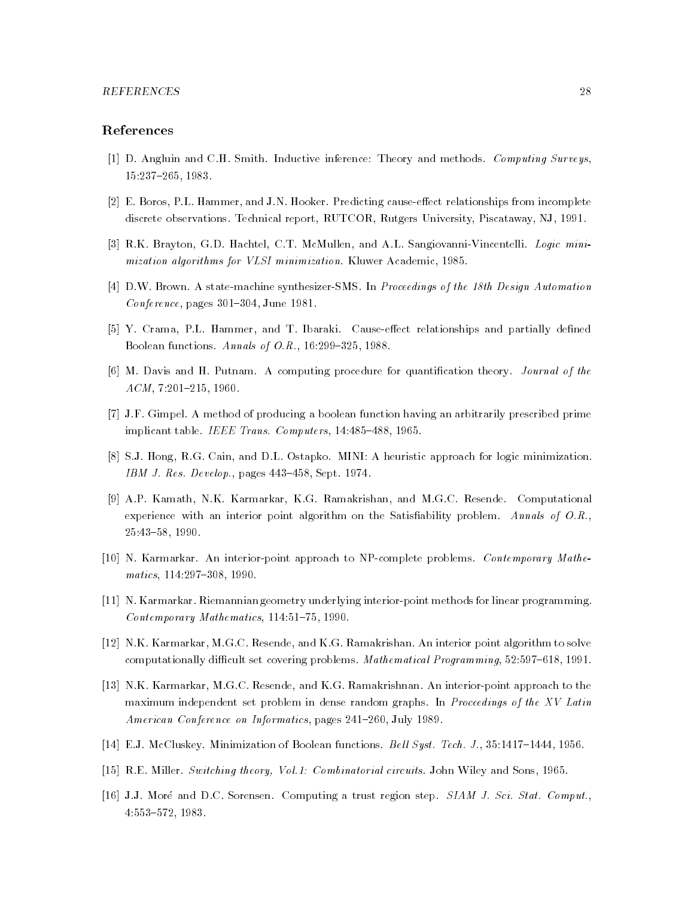# References

- , a computing interest in the computing interest interesting in the methods  $\alpha$  is  $\alpha$  and  $\alpha$ the contract of the contract of the contract of the contract of the contract of the contract of the contract o
- [2] E. Boros, P.L. Hammer, and J.N. Hooker. Predicting cause-effect relationships from incomplete discrete observations Technical reports Technical reports University Rutgers University Piscataway NJ - NJ - NJ
- [3] R.K. Brayton, G.D. Hachtel, C.T. McMullen, and A.L. Sangiovanni-Vincentelli. Logic minimization algorithms for VLSI minimization Correction Correction Correction Academic Co
- [4] D.W. Brown. A state-machine synthesizer-SMS. In Proceedings of the 18th Design Automation conference pages of the contract and the state
- [5] Y. Crama, P.L. Hammer, and T. Ibaraki. Cause-effect relationships and partially defined Boolean functions Annals of O-R- -- -
- [6] M. Davis and H. Putnam. A computing procedure for quantification theory. Journal of the ACM  -
- JF Gimpel A method of producing a boolean function having an arbitrarily prescribed prime implicant table IEEE Trans- Computers -
- SJ Hong RG Cain and DL Ostapko MINI A heuristic approach for logic minimization IBM J- Res- Develop- pages 

 Sept -
- , all the computation of the computation of the computation and mathematic computation of the Computational Computational experience with an interior point algorithm on the Satisability problem Annals of O-R- --
- [10] N. Karmarkar. An interior-point approach to NP-complete problems. Contemporary Mathematics - --
- $[11]$  N. Karmarkar, Riemannian geometry underlying interior-point methods for linear programming. contemporary mathematics in the annual contemporary of the state of the state of the state of the state of the
- [12] N.K. Karmarkar, M.G.C. Resende, and K.G. Ramakrishan. An interior point algorithm to solve computationally different set covering problems Mathematical Problems Mathematical Problems Mathematical Problems Ma
- [13] N.K. Karmarkar, M.G.C. Resende, and K.G. Ramakrishnan. An interior-point approach to the maximum independent set problem in dense random graphs. In Proceedings of the XV Latin American Conference on Informatics pages 
 July --
- EJ McCluskey Minimization of Boolean functions Bel l Syst- Tech- J- -
- RE Miller Switching theory Vol- Combinatorial circuits John Wiley and Sons -
- JJ More and DC Sorensen Computing a trust region step SIAM J- Sci- Stat- Comput- ----- ---------